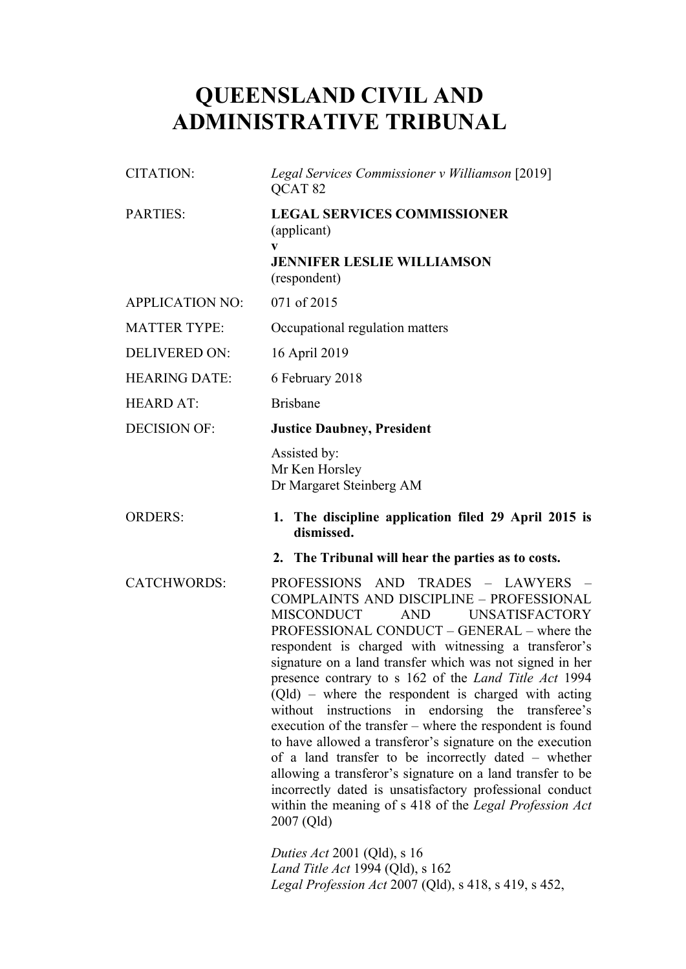# **QUEENSLAND CIVIL AND ADMINISTRATIVE TRIBUNAL**

| CITATION:              | Legal Services Commissioner v Williamson [2019]<br>QCAT <sub>82</sub>                                                                                                                                                                                                                                                                                                                                                                                                                                                                                                                                                                                                                                                                                                                                                                                                                      |
|------------------------|--------------------------------------------------------------------------------------------------------------------------------------------------------------------------------------------------------------------------------------------------------------------------------------------------------------------------------------------------------------------------------------------------------------------------------------------------------------------------------------------------------------------------------------------------------------------------------------------------------------------------------------------------------------------------------------------------------------------------------------------------------------------------------------------------------------------------------------------------------------------------------------------|
| PARTIES:               | <b>LEGAL SERVICES COMMISSIONER</b><br>(applicant)                                                                                                                                                                                                                                                                                                                                                                                                                                                                                                                                                                                                                                                                                                                                                                                                                                          |
|                        | $\mathbf{V}$<br><b>JENNIFER LESLIE WILLIAMSON</b><br>(respondent)                                                                                                                                                                                                                                                                                                                                                                                                                                                                                                                                                                                                                                                                                                                                                                                                                          |
| <b>APPLICATION NO:</b> | 071 of 2015                                                                                                                                                                                                                                                                                                                                                                                                                                                                                                                                                                                                                                                                                                                                                                                                                                                                                |
| <b>MATTER TYPE:</b>    | Occupational regulation matters                                                                                                                                                                                                                                                                                                                                                                                                                                                                                                                                                                                                                                                                                                                                                                                                                                                            |
| <b>DELIVERED ON:</b>   | 16 April 2019                                                                                                                                                                                                                                                                                                                                                                                                                                                                                                                                                                                                                                                                                                                                                                                                                                                                              |
| <b>HEARING DATE:</b>   | 6 February 2018                                                                                                                                                                                                                                                                                                                                                                                                                                                                                                                                                                                                                                                                                                                                                                                                                                                                            |
| <b>HEARD AT:</b>       | <b>Brisbane</b>                                                                                                                                                                                                                                                                                                                                                                                                                                                                                                                                                                                                                                                                                                                                                                                                                                                                            |
| <b>DECISION OF:</b>    | <b>Justice Daubney, President</b>                                                                                                                                                                                                                                                                                                                                                                                                                                                                                                                                                                                                                                                                                                                                                                                                                                                          |
|                        | Assisted by:<br>Mr Ken Horsley<br>Dr Margaret Steinberg AM                                                                                                                                                                                                                                                                                                                                                                                                                                                                                                                                                                                                                                                                                                                                                                                                                                 |
| <b>ORDERS:</b>         | 1. The discipline application filed 29 April 2015 is<br>dismissed.                                                                                                                                                                                                                                                                                                                                                                                                                                                                                                                                                                                                                                                                                                                                                                                                                         |
|                        | 2. The Tribunal will hear the parties as to costs.                                                                                                                                                                                                                                                                                                                                                                                                                                                                                                                                                                                                                                                                                                                                                                                                                                         |
| <b>CATCHWORDS:</b>     | PROFESSIONS AND TRADES - LAWYERS -<br><b>COMPLAINTS AND DISCIPLINE - PROFESSIONAL</b><br><b>MISCONDUCT</b><br><b>AND</b><br><b>UNSATISFACTORY</b><br>PROFESSIONAL CONDUCT - GENERAL - where the<br>respondent is charged with witnessing a transferor's<br>signature on a land transfer which was not signed in her<br>presence contrary to s 162 of the <i>Land Title Act</i> 1994<br>$(Qld)$ – where the respondent is charged with acting<br>without instructions in endorsing the<br>transferee's<br>execution of the transfer – where the respondent is found<br>to have allowed a transferor's signature on the execution<br>of a land transfer to be incorrectly dated – whether<br>allowing a transferor's signature on a land transfer to be<br>incorrectly dated is unsatisfactory professional conduct<br>within the meaning of s 418 of the Legal Profession Act<br>2007 (Qld) |
|                        | <i>Duties Act</i> 2001 (Qld), s 16                                                                                                                                                                                                                                                                                                                                                                                                                                                                                                                                                                                                                                                                                                                                                                                                                                                         |

*Land Title Act* 1994 (Qld), s 162 *Legal Profession Act* 2007 (Qld), s 418, s 419, s 452,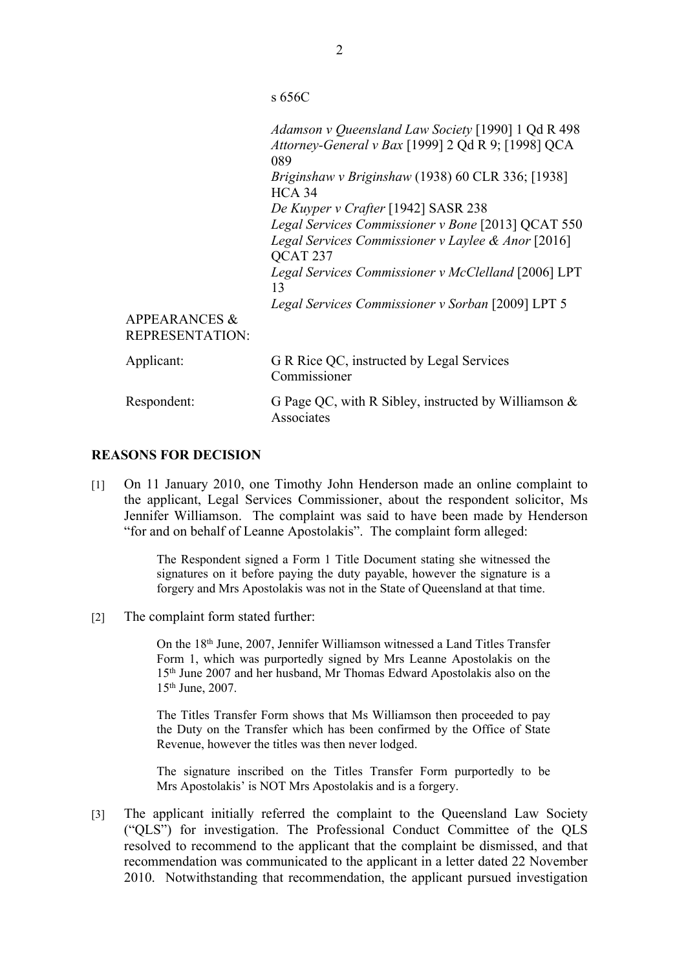s 656C

|                                                    | Adamson v Queensland Law Society [1990] 1 Qd R 498<br>Attorney-General v Bax [1999] 2 Qd R 9; [1998] QCA<br>089 |
|----------------------------------------------------|-----------------------------------------------------------------------------------------------------------------|
|                                                    | Briginshaw v Briginshaw (1938) 60 CLR 336; [1938]<br>$HCA$ 34                                                   |
|                                                    | De Kuyper v Crafter [1942] SASR 238                                                                             |
|                                                    | Legal Services Commissioner v Bone [2013] QCAT 550                                                              |
|                                                    | Legal Services Commissioner v Laylee & Anor [2016]<br>QCAT <sub>237</sub>                                       |
|                                                    | Legal Services Commissioner v McClelland [2006] LPT<br>13                                                       |
|                                                    | Legal Services Commissioner v Sorban [2009] LPT 5                                                               |
| <b>APPEARANCES &amp;</b><br><b>REPRESENTATION:</b> |                                                                                                                 |
| Applicant:                                         | G R Rice QC, instructed by Legal Services<br>Commissioner                                                       |
| Respondent:                                        | G Page QC, with R Sibley, instructed by Williamson &<br>Associates                                              |

## **REASONS FOR DECISION**

[1] On 11 January 2010, one Timothy John Henderson made an online complaint to the applicant, Legal Services Commissioner, about the respondent solicitor, Ms Jennifer Williamson. The complaint was said to have been made by Henderson "for and on behalf of Leanne Apostolakis". The complaint form alleged:

> The Respondent signed a Form 1 Title Document stating she witnessed the signatures on it before paying the duty payable, however the signature is a forgery and Mrs Apostolakis was not in the State of Queensland at that time.

[2] The complaint form stated further:

On the 18th June, 2007, Jennifer Williamson witnessed a Land Titles Transfer Form 1, which was purportedly signed by Mrs Leanne Apostolakis on the 15th June 2007 and her husband, Mr Thomas Edward Apostolakis also on the 15th June, 2007.

The Titles Transfer Form shows that Ms Williamson then proceeded to pay the Duty on the Transfer which has been confirmed by the Office of State Revenue, however the titles was then never lodged.

The signature inscribed on the Titles Transfer Form purportedly to be Mrs Apostolakis' is NOT Mrs Apostolakis and is a forgery.

[3] The applicant initially referred the complaint to the Queensland Law Society ("QLS") for investigation. The Professional Conduct Committee of the QLS resolved to recommend to the applicant that the complaint be dismissed, and that recommendation was communicated to the applicant in a letter dated 22 November 2010. Notwithstanding that recommendation, the applicant pursued investigation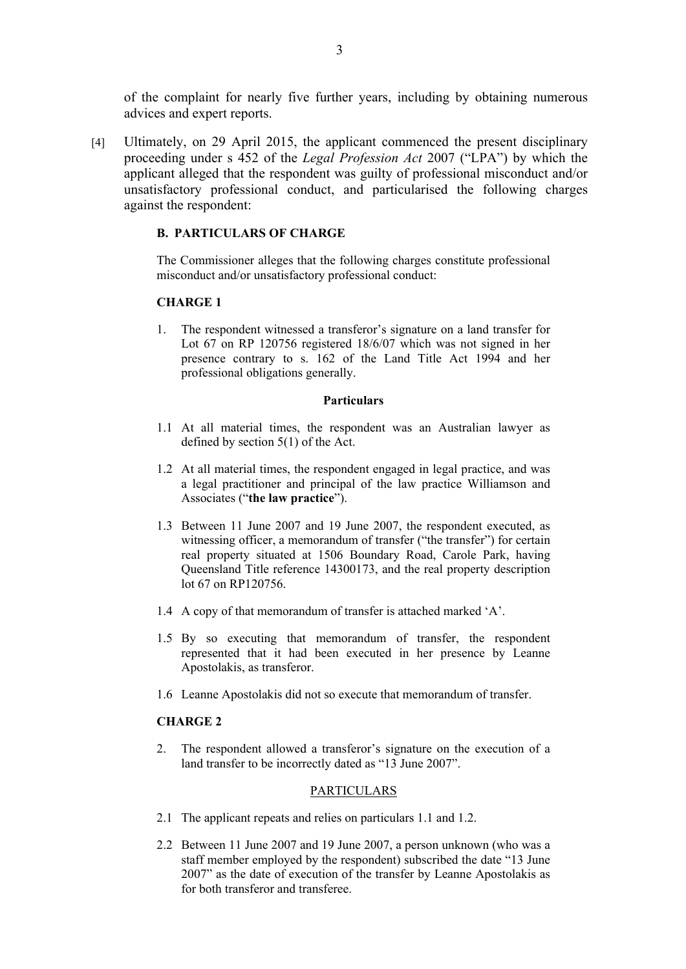of the complaint for nearly five further years, including by obtaining numerous advices and expert reports.

[4] Ultimately, on 29 April 2015, the applicant commenced the present disciplinary proceeding under s 452 of the *Legal Profession Act* 2007 ("LPA") by which the applicant alleged that the respondent was guilty of professional misconduct and/or unsatisfactory professional conduct, and particularised the following charges against the respondent:

### **B. PARTICULARS OF CHARGE**

The Commissioner alleges that the following charges constitute professional misconduct and/or unsatisfactory professional conduct:

# **CHARGE 1**

1. The respondent witnessed a transferor's signature on a land transfer for Lot 67 on RP 120756 registered 18/6/07 which was not signed in her presence contrary to s. 162 of the Land Title Act 1994 and her professional obligations generally.

#### **Particulars**

- 1.1 At all material times, the respondent was an Australian lawyer as defined by section 5(1) of the Act.
- 1.2 At all material times, the respondent engaged in legal practice, and was a legal practitioner and principal of the law practice Williamson and Associates ("**the law practice**").
- 1.3 Between 11 June 2007 and 19 June 2007, the respondent executed, as witnessing officer, a memorandum of transfer ("the transfer") for certain real property situated at 1506 Boundary Road, Carole Park, having Queensland Title reference 14300173, and the real property description lot 67 on RP120756.
- 1.4 A copy of that memorandum of transfer is attached marked 'A'.
- 1.5 By so executing that memorandum of transfer, the respondent represented that it had been executed in her presence by Leanne Apostolakis, as transferor.
- 1.6 Leanne Apostolakis did not so execute that memorandum of transfer.

#### **CHARGE 2**

2. The respondent allowed a transferor's signature on the execution of a land transfer to be incorrectly dated as "13 June 2007".

#### PARTICULARS

- 2.1 The applicant repeats and relies on particulars 1.1 and 1.2.
- 2.2 Between 11 June 2007 and 19 June 2007, a person unknown (who was a staff member employed by the respondent) subscribed the date "13 June 2007" as the date of execution of the transfer by Leanne Apostolakis as for both transferor and transferee.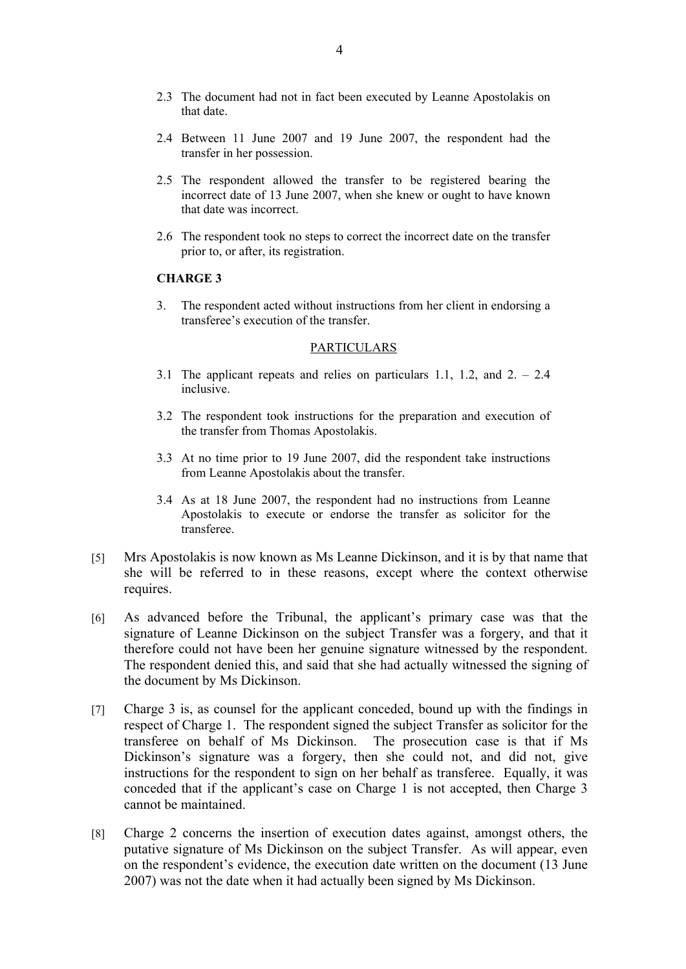- 2.3 The document had not in fact been executed by Leanne Apostolakis on that date.
- 2.4 Between 11 June 2007 and 19 June 2007, the respondent had the transfer in her possession.
- 2.5 The respondent allowed the transfer to be registered bearing the incorrect date of 13 June 2007, when she knew or ought to have known that date was incorrect.
- 2.6 The respondent took no steps to correct the incorrect date on the transfer prior to, or after, its registration.

### **CHARGE 3**

3. The respondent acted without instructions from her client in endorsing a transferee's execution of the transfer.

### PARTICULARS

- 3.1 The applicant repeats and relies on particulars 1.1, 1.2, and 2. 2.4 inclusive.
- 3.2 The respondent took instructions for the preparation and execution of the transfer from Thomas Apostolakis.
- 3.3 At no time prior to 19 June 2007, did the respondent take instructions from Leanne Apostolakis about the transfer.
- 3.4 As at 18 June 2007, the respondent had no instructions from Leanne Apostolakis to execute or endorse the transfer as solicitor for the transferee.
- [5] Mrs Apostolakis is now known as Ms Leanne Dickinson, and it is by that name that she will be referred to in these reasons, except where the context otherwise requires.
- [6] As advanced before the Tribunal, the applicant's primary case was that the signature of Leanne Dickinson on the subject Transfer was a forgery, and that it therefore could not have been her genuine signature witnessed by the respondent. The respondent denied this, and said that she had actually witnessed the signing of the document by Ms Dickinson.
- [7] Charge 3 is, as counsel for the applicant conceded, bound up with the findings in respect of Charge 1. The respondent signed the subject Transfer as solicitor for the transferee on behalf of Ms Dickinson. The prosecution case is that if Ms Dickinson's signature was a forgery, then she could not, and did not, give instructions for the respondent to sign on her behalf as transferee. Equally, it was conceded that if the applicant's case on Charge 1 is not accepted, then Charge 3 cannot be maintained.
- [8] Charge 2 concerns the insertion of execution dates against, amongst others, the putative signature of Ms Dickinson on the subject Transfer. As will appear, even on the respondent's evidence, the execution date written on the document (13 June 2007) was not the date when it had actually been signed by Ms Dickinson.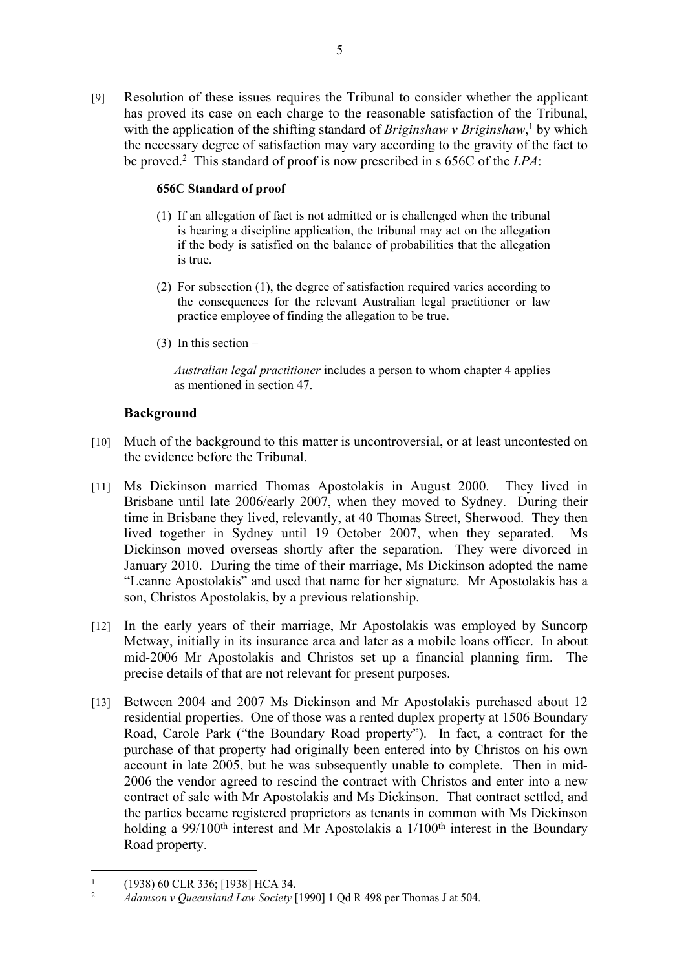[9] Resolution of these issues requires the Tribunal to consider whether the applicant has proved its case on each charge to the reasonable satisfaction of the Tribunal, with the application of the shifting standard of *Briginshaw v Briginshaw*,<sup>1</sup> by which the necessary degree of satisfaction may vary according to the gravity of the fact to be proved.<sup>2</sup> This standard of proof is now prescribed in s 656C of the *LPA*:

# **656C Standard of proof**

- (1) If an allegation of fact is not admitted or is challenged when the tribunal is hearing a discipline application, the tribunal may act on the allegation if the body is satisfied on the balance of probabilities that the allegation is true.
- (2) For subsection (1), the degree of satisfaction required varies according to the consequences for the relevant Australian legal practitioner or law practice employee of finding the allegation to be true.
- (3) In this section –

*Australian legal practitioner* includes a person to whom chapter 4 applies as mentioned in section 47.

# **Background**

- [10] Much of the background to this matter is uncontroversial, or at least uncontested on the evidence before the Tribunal.
- [11] Ms Dickinson married Thomas Apostolakis in August 2000. They lived in Brisbane until late 2006/early 2007, when they moved to Sydney. During their time in Brisbane they lived, relevantly, at 40 Thomas Street, Sherwood. They then lived together in Sydney until 19 October 2007, when they separated. Ms Dickinson moved overseas shortly after the separation. They were divorced in January 2010. During the time of their marriage, Ms Dickinson adopted the name "Leanne Apostolakis" and used that name for her signature. Mr Apostolakis has a son, Christos Apostolakis, by a previous relationship.
- [12] In the early years of their marriage, Mr Apostolakis was employed by Suncorp Metway, initially in its insurance area and later as a mobile loans officer. In about mid-2006 Mr Apostolakis and Christos set up a financial planning firm. The precise details of that are not relevant for present purposes.
- [13] Between 2004 and 2007 Ms Dickinson and Mr Apostolakis purchased about 12 residential properties. One of those was a rented duplex property at 1506 Boundary Road, Carole Park ("the Boundary Road property"). In fact, a contract for the purchase of that property had originally been entered into by Christos on his own account in late 2005, but he was subsequently unable to complete. Then in mid-2006 the vendor agreed to rescind the contract with Christos and enter into a new contract of sale with Mr Apostolakis and Ms Dickinson. That contract settled, and the parties became registered proprietors as tenants in common with Ms Dickinson holding a 99/100<sup>th</sup> interest and Mr Apostolakis a  $1/100<sup>th</sup>$  interest in the Boundary Road property.

<sup>1</sup>  $(1938)$  60 CLR 336; [1938] HCA 34.

<sup>2</sup> *Adamson v Queensland Law Society* [1990] 1 Qd R 498 per Thomas J at 504.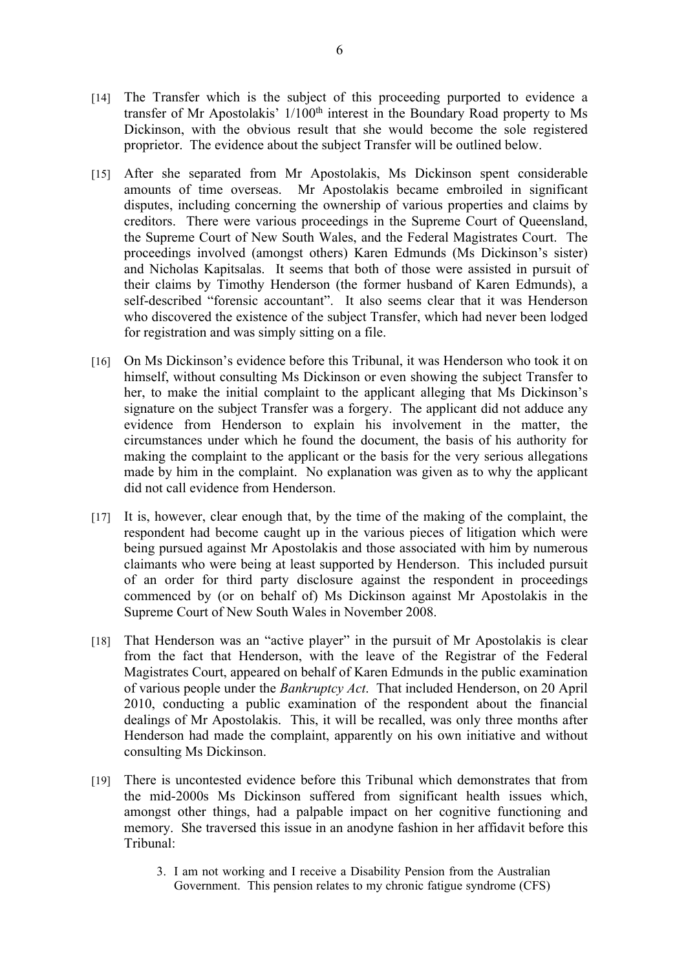- [14] The Transfer which is the subject of this proceeding purported to evidence a transfer of Mr Apostolakis'  $1/100<sup>th</sup>$  interest in the Boundary Road property to Ms Dickinson, with the obvious result that she would become the sole registered proprietor. The evidence about the subject Transfer will be outlined below.
- [15] After she separated from Mr Apostolakis, Ms Dickinson spent considerable amounts of time overseas. Mr Apostolakis became embroiled in significant disputes, including concerning the ownership of various properties and claims by creditors. There were various proceedings in the Supreme Court of Queensland, the Supreme Court of New South Wales, and the Federal Magistrates Court. The proceedings involved (amongst others) Karen Edmunds (Ms Dickinson's sister) and Nicholas Kapitsalas. It seems that both of those were assisted in pursuit of their claims by Timothy Henderson (the former husband of Karen Edmunds), a self-described "forensic accountant". It also seems clear that it was Henderson who discovered the existence of the subject Transfer, which had never been lodged for registration and was simply sitting on a file.
- [16] On Ms Dickinson's evidence before this Tribunal, it was Henderson who took it on himself, without consulting Ms Dickinson or even showing the subject Transfer to her, to make the initial complaint to the applicant alleging that Ms Dickinson's signature on the subject Transfer was a forgery. The applicant did not adduce any evidence from Henderson to explain his involvement in the matter, the circumstances under which he found the document, the basis of his authority for making the complaint to the applicant or the basis for the very serious allegations made by him in the complaint. No explanation was given as to why the applicant did not call evidence from Henderson.
- [17] It is, however, clear enough that, by the time of the making of the complaint, the respondent had become caught up in the various pieces of litigation which were being pursued against Mr Apostolakis and those associated with him by numerous claimants who were being at least supported by Henderson. This included pursuit of an order for third party disclosure against the respondent in proceedings commenced by (or on behalf of) Ms Dickinson against Mr Apostolakis in the Supreme Court of New South Wales in November 2008.
- [18] That Henderson was an "active player" in the pursuit of Mr Apostolakis is clear from the fact that Henderson, with the leave of the Registrar of the Federal Magistrates Court, appeared on behalf of Karen Edmunds in the public examination of various people under the *Bankruptcy Act*. That included Henderson, on 20 April 2010, conducting a public examination of the respondent about the financial dealings of Mr Apostolakis. This, it will be recalled, was only three months after Henderson had made the complaint, apparently on his own initiative and without consulting Ms Dickinson.
- [19] There is uncontested evidence before this Tribunal which demonstrates that from the mid-2000s Ms Dickinson suffered from significant health issues which, amongst other things, had a palpable impact on her cognitive functioning and memory. She traversed this issue in an anodyne fashion in her affidavit before this Tribunal:
	- 3. I am not working and I receive a Disability Pension from the Australian Government. This pension relates to my chronic fatigue syndrome (CFS)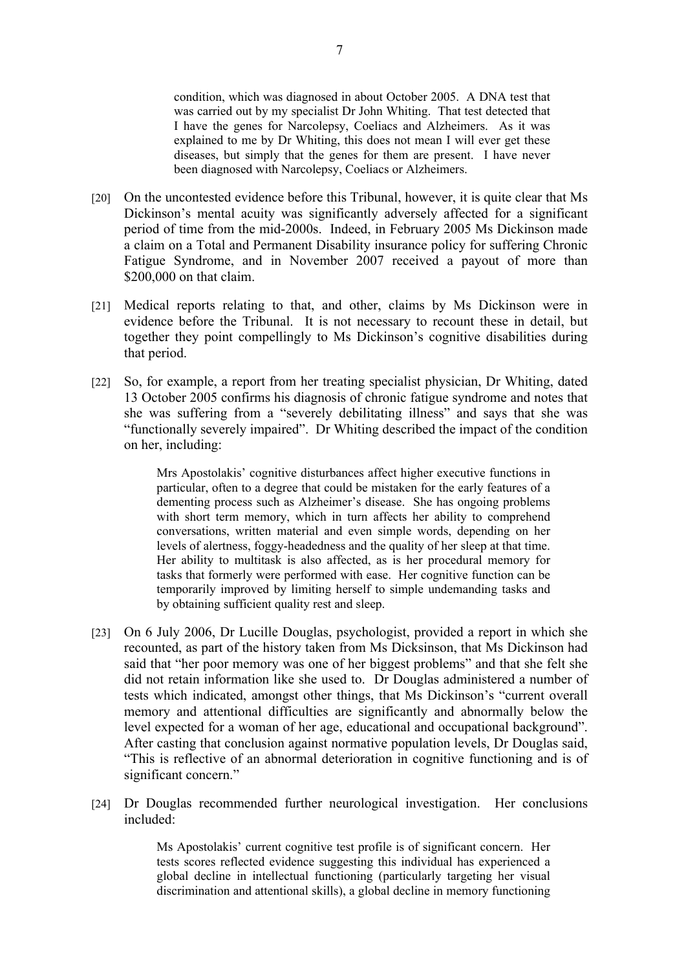condition, which was diagnosed in about October 2005. A DNA test that was carried out by my specialist Dr John Whiting. That test detected that I have the genes for Narcolepsy, Coeliacs and Alzheimers. As it was explained to me by Dr Whiting, this does not mean I will ever get these diseases, but simply that the genes for them are present. I have never been diagnosed with Narcolepsy, Coeliacs or Alzheimers.

- [20] On the uncontested evidence before this Tribunal, however, it is quite clear that Ms Dickinson's mental acuity was significantly adversely affected for a significant period of time from the mid-2000s. Indeed, in February 2005 Ms Dickinson made a claim on a Total and Permanent Disability insurance policy for suffering Chronic Fatigue Syndrome, and in November 2007 received a payout of more than \$200,000 on that claim.
- [21] Medical reports relating to that, and other, claims by Ms Dickinson were in evidence before the Tribunal. It is not necessary to recount these in detail, but together they point compellingly to Ms Dickinson's cognitive disabilities during that period.
- [22] So, for example, a report from her treating specialist physician, Dr Whiting, dated 13 October 2005 confirms his diagnosis of chronic fatigue syndrome and notes that she was suffering from a "severely debilitating illness" and says that she was "functionally severely impaired". Dr Whiting described the impact of the condition on her, including:

Mrs Apostolakis' cognitive disturbances affect higher executive functions in particular, often to a degree that could be mistaken for the early features of a dementing process such as Alzheimer's disease. She has ongoing problems with short term memory, which in turn affects her ability to comprehend conversations, written material and even simple words, depending on her levels of alertness, foggy-headedness and the quality of her sleep at that time. Her ability to multitask is also affected, as is her procedural memory for tasks that formerly were performed with ease. Her cognitive function can be temporarily improved by limiting herself to simple undemanding tasks and by obtaining sufficient quality rest and sleep.

- [23] On 6 July 2006, Dr Lucille Douglas, psychologist, provided a report in which she recounted, as part of the history taken from Ms Dicksinson, that Ms Dickinson had said that "her poor memory was one of her biggest problems" and that she felt she did not retain information like she used to. Dr Douglas administered a number of tests which indicated, amongst other things, that Ms Dickinson's "current overall memory and attentional difficulties are significantly and abnormally below the level expected for a woman of her age, educational and occupational background". After casting that conclusion against normative population levels, Dr Douglas said, "This is reflective of an abnormal deterioration in cognitive functioning and is of significant concern."
- [24] Dr Douglas recommended further neurological investigation. Her conclusions included:

Ms Apostolakis' current cognitive test profile is of significant concern. Her tests scores reflected evidence suggesting this individual has experienced a global decline in intellectual functioning (particularly targeting her visual discrimination and attentional skills), a global decline in memory functioning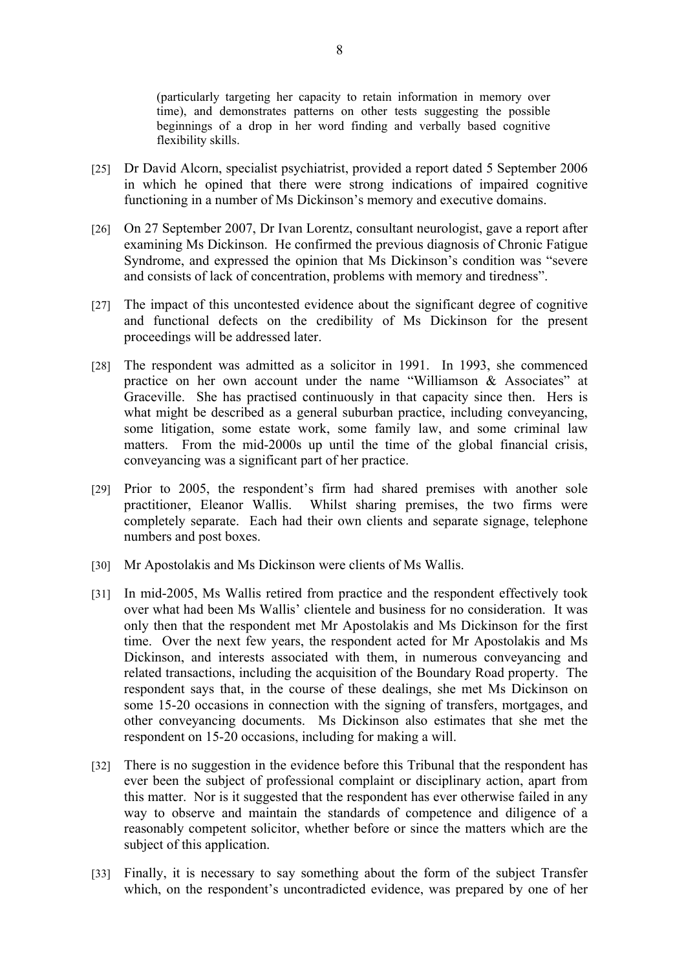(particularly targeting her capacity to retain information in memory over time), and demonstrates patterns on other tests suggesting the possible beginnings of a drop in her word finding and verbally based cognitive flexibility skills.

- [25] Dr David Alcorn, specialist psychiatrist, provided a report dated 5 September 2006 in which he opined that there were strong indications of impaired cognitive functioning in a number of Ms Dickinson's memory and executive domains.
- [26] On 27 September 2007, Dr Ivan Lorentz, consultant neurologist, gave a report after examining Ms Dickinson. He confirmed the previous diagnosis of Chronic Fatigue Syndrome, and expressed the opinion that Ms Dickinson's condition was "severe and consists of lack of concentration, problems with memory and tiredness".
- [27] The impact of this uncontested evidence about the significant degree of cognitive and functional defects on the credibility of Ms Dickinson for the present proceedings will be addressed later.
- [28] The respondent was admitted as a solicitor in 1991. In 1993, she commenced practice on her own account under the name "Williamson & Associates" at Graceville. She has practised continuously in that capacity since then. Hers is what might be described as a general suburban practice, including conveyancing, some litigation, some estate work, some family law, and some criminal law matters. From the mid-2000s up until the time of the global financial crisis, conveyancing was a significant part of her practice.
- [29] Prior to 2005, the respondent's firm had shared premises with another sole practitioner, Eleanor Wallis. Whilst sharing premises, the two firms were completely separate. Each had their own clients and separate signage, telephone numbers and post boxes.
- [30] Mr Apostolakis and Ms Dickinson were clients of Ms Wallis.
- [31] In mid-2005, Ms Wallis retired from practice and the respondent effectively took over what had been Ms Wallis' clientele and business for no consideration. It was only then that the respondent met Mr Apostolakis and Ms Dickinson for the first time. Over the next few years, the respondent acted for Mr Apostolakis and Ms Dickinson, and interests associated with them, in numerous conveyancing and related transactions, including the acquisition of the Boundary Road property. The respondent says that, in the course of these dealings, she met Ms Dickinson on some 15-20 occasions in connection with the signing of transfers, mortgages, and other conveyancing documents. Ms Dickinson also estimates that she met the respondent on 15-20 occasions, including for making a will.
- [32] There is no suggestion in the evidence before this Tribunal that the respondent has ever been the subject of professional complaint or disciplinary action, apart from this matter. Nor is it suggested that the respondent has ever otherwise failed in any way to observe and maintain the standards of competence and diligence of a reasonably competent solicitor, whether before or since the matters which are the subject of this application.
- [33] Finally, it is necessary to say something about the form of the subject Transfer which, on the respondent's uncontradicted evidence, was prepared by one of her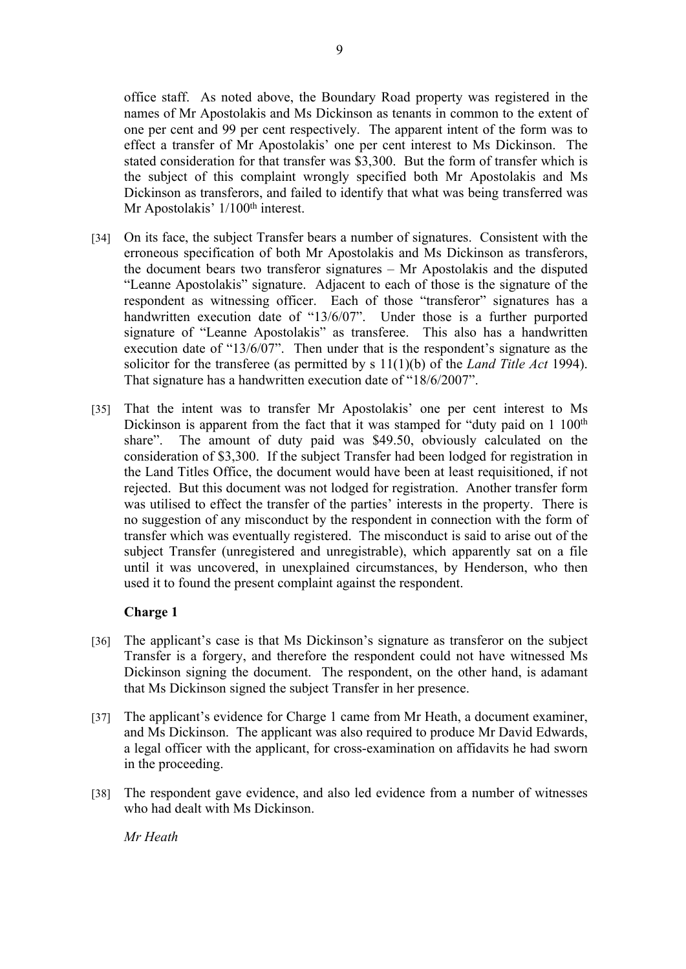office staff. As noted above, the Boundary Road property was registered in the names of Mr Apostolakis and Ms Dickinson as tenants in common to the extent of one per cent and 99 per cent respectively. The apparent intent of the form was to effect a transfer of Mr Apostolakis' one per cent interest to Ms Dickinson. The stated consideration for that transfer was \$3,300. But the form of transfer which is the subject of this complaint wrongly specified both Mr Apostolakis and Ms Dickinson as transferors, and failed to identify that what was being transferred was Mr Apostolakis' 1/100<sup>th</sup> interest.

- [34] On its face, the subject Transfer bears a number of signatures. Consistent with the erroneous specification of both Mr Apostolakis and Ms Dickinson as transferors, the document bears two transferor signatures – Mr Apostolakis and the disputed "Leanne Apostolakis" signature. Adjacent to each of those is the signature of the respondent as witnessing officer. Each of those "transferor" signatures has a handwritten execution date of "13/6/07". Under those is a further purported signature of "Leanne Apostolakis" as transferee. This also has a handwritten execution date of "13/6/07". Then under that is the respondent's signature as the solicitor for the transferee (as permitted by s 11(1)(b) of the *Land Title Act* 1994). That signature has a handwritten execution date of "18/6/2007".
- [35] That the intent was to transfer Mr Apostolakis' one per cent interest to Ms Dickinson is apparent from the fact that it was stamped for "duty paid on  $1\ 100<sup>th</sup>$ share". The amount of duty paid was \$49.50, obviously calculated on the consideration of \$3,300. If the subject Transfer had been lodged for registration in the Land Titles Office, the document would have been at least requisitioned, if not rejected. But this document was not lodged for registration. Another transfer form was utilised to effect the transfer of the parties' interests in the property. There is no suggestion of any misconduct by the respondent in connection with the form of transfer which was eventually registered. The misconduct is said to arise out of the subject Transfer (unregistered and unregistrable), which apparently sat on a file until it was uncovered, in unexplained circumstances, by Henderson, who then used it to found the present complaint against the respondent.

# **Charge 1**

- [36] The applicant's case is that Ms Dickinson's signature as transferor on the subject Transfer is a forgery, and therefore the respondent could not have witnessed Ms Dickinson signing the document. The respondent, on the other hand, is adamant that Ms Dickinson signed the subject Transfer in her presence.
- [37] The applicant's evidence for Charge 1 came from Mr Heath, a document examiner, and Ms Dickinson. The applicant was also required to produce Mr David Edwards, a legal officer with the applicant, for cross-examination on affidavits he had sworn in the proceeding.
- [38] The respondent gave evidence, and also led evidence from a number of witnesses who had dealt with Ms Dickinson.

*Mr Heath*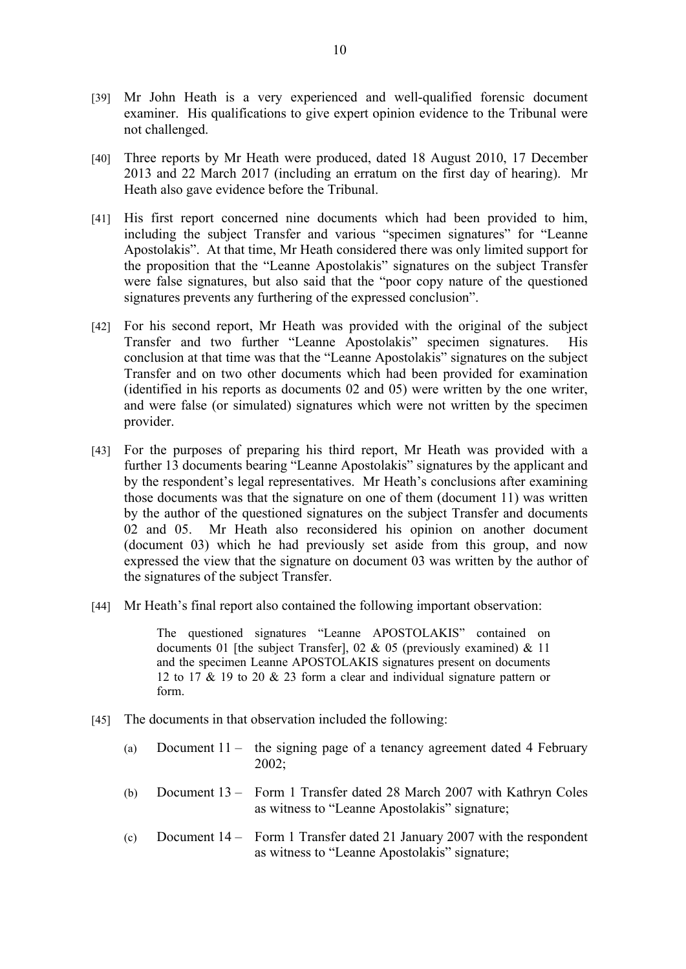- [39] Mr John Heath is a very experienced and well-qualified forensic document examiner. His qualifications to give expert opinion evidence to the Tribunal were not challenged.
- [40] Three reports by Mr Heath were produced, dated 18 August 2010, 17 December 2013 and 22 March 2017 (including an erratum on the first day of hearing). Mr Heath also gave evidence before the Tribunal.
- [41] His first report concerned nine documents which had been provided to him, including the subject Transfer and various "specimen signatures" for "Leanne Apostolakis". At that time, Mr Heath considered there was only limited support for the proposition that the "Leanne Apostolakis" signatures on the subject Transfer were false signatures, but also said that the "poor copy nature of the questioned signatures prevents any furthering of the expressed conclusion".
- [42] For his second report, Mr Heath was provided with the original of the subject Transfer and two further "Leanne Apostolakis" specimen signatures. His conclusion at that time was that the "Leanne Apostolakis" signatures on the subject Transfer and on two other documents which had been provided for examination (identified in his reports as documents 02 and 05) were written by the one writer, and were false (or simulated) signatures which were not written by the specimen provider.
- [43] For the purposes of preparing his third report, Mr Heath was provided with a further 13 documents bearing "Leanne Apostolakis" signatures by the applicant and by the respondent's legal representatives. Mr Heath's conclusions after examining those documents was that the signature on one of them (document 11) was written by the author of the questioned signatures on the subject Transfer and documents 02 and 05. Mr Heath also reconsidered his opinion on another document (document 03) which he had previously set aside from this group, and now expressed the view that the signature on document 03 was written by the author of the signatures of the subject Transfer.
- [44] Mr Heath's final report also contained the following important observation:

The questioned signatures "Leanne APOSTOLAKIS" contained on documents 01 [the subject Transfer], 02 & 05 (previously examined) & 11 and the specimen Leanne APOSTOLAKIS signatures present on documents 12 to 17 & 19 to 20 & 23 form a clear and individual signature pattern or form.

- [45] The documents in that observation included the following:
	- (a) Document 11 the signing page of a tenancy agreement dated 4 February  $2002$
	- (b) Document 13 Form 1 Transfer dated 28 March 2007 with Kathryn Coles as witness to "Leanne Apostolakis" signature;
	- (c) Document 14 Form 1 Transfer dated 21 January 2007 with the respondent as witness to "Leanne Apostolakis" signature;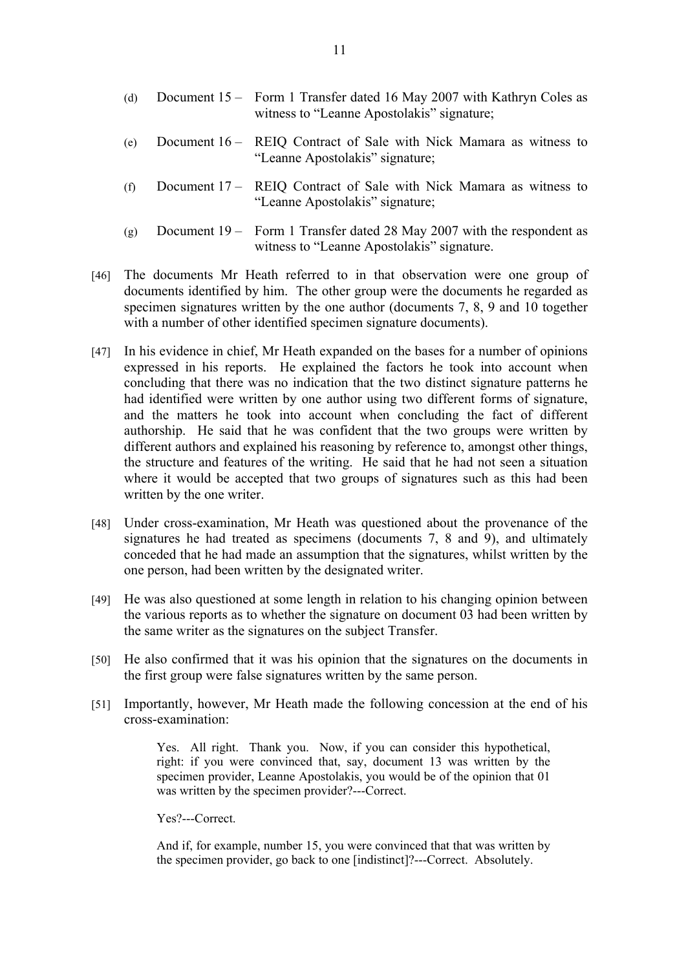- (d) Document 15 Form 1 Transfer dated 16 May 2007 with Kathryn Coles as witness to "Leanne Apostolakis" signature;
- (e) Document 16 REIQ Contract of Sale with Nick Mamara as witness to "Leanne Apostolakis" signature;
- (f) Document 17 REIQ Contract of Sale with Nick Mamara as witness to "Leanne Apostolakis" signature;
- (g) Document 19 Form 1 Transfer dated 28 May 2007 with the respondent as witness to "Leanne Apostolakis" signature.
- [46] The documents Mr Heath referred to in that observation were one group of documents identified by him. The other group were the documents he regarded as specimen signatures written by the one author (documents 7, 8, 9 and 10 together with a number of other identified specimen signature documents).
- [47] In his evidence in chief, Mr Heath expanded on the bases for a number of opinions expressed in his reports. He explained the factors he took into account when concluding that there was no indication that the two distinct signature patterns he had identified were written by one author using two different forms of signature, and the matters he took into account when concluding the fact of different authorship. He said that he was confident that the two groups were written by different authors and explained his reasoning by reference to, amongst other things, the structure and features of the writing. He said that he had not seen a situation where it would be accepted that two groups of signatures such as this had been written by the one writer.
- [48] Under cross-examination, Mr Heath was questioned about the provenance of the signatures he had treated as specimens (documents 7, 8 and 9), and ultimately conceded that he had made an assumption that the signatures, whilst written by the one person, had been written by the designated writer.
- [49] He was also questioned at some length in relation to his changing opinion between the various reports as to whether the signature on document 03 had been written by the same writer as the signatures on the subject Transfer.
- [50] He also confirmed that it was his opinion that the signatures on the documents in the first group were false signatures written by the same person.
- [51] Importantly, however, Mr Heath made the following concession at the end of his cross-examination:

Yes. All right. Thank you. Now, if you can consider this hypothetical, right: if you were convinced that, say, document 13 was written by the specimen provider, Leanne Apostolakis, you would be of the opinion that 01 was written by the specimen provider?---Correct.

Yes?---Correct.

And if, for example, number 15, you were convinced that that was written by the specimen provider, go back to one [indistinct]?---Correct. Absolutely.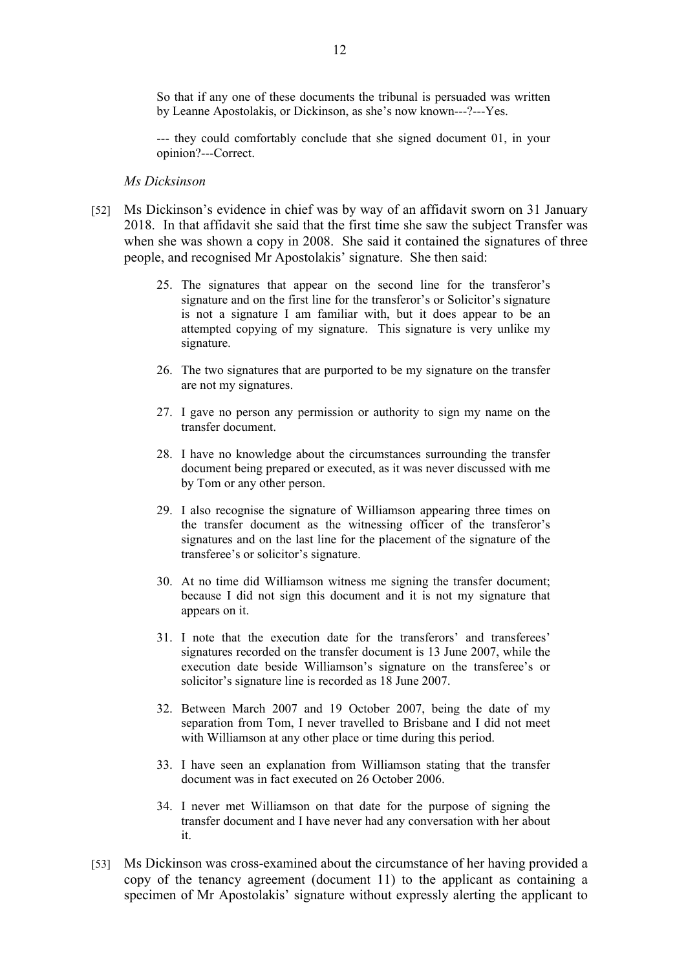So that if any one of these documents the tribunal is persuaded was written by Leanne Apostolakis, or Dickinson, as she's now known---?---Yes.

--- they could comfortably conclude that she signed document 01, in your opinion?---Correct.

#### *Ms Dicksinson*

- [52] Ms Dickinson's evidence in chief was by way of an affidavit sworn on 31 January 2018. In that affidavit she said that the first time she saw the subject Transfer was when she was shown a copy in 2008. She said it contained the signatures of three people, and recognised Mr Apostolakis' signature. She then said:
	- 25. The signatures that appear on the second line for the transferor's signature and on the first line for the transferor's or Solicitor's signature is not a signature I am familiar with, but it does appear to be an attempted copying of my signature. This signature is very unlike my signature.
	- 26. The two signatures that are purported to be my signature on the transfer are not my signatures.
	- 27. I gave no person any permission or authority to sign my name on the transfer document.
	- 28. I have no knowledge about the circumstances surrounding the transfer document being prepared or executed, as it was never discussed with me by Tom or any other person.
	- 29. I also recognise the signature of Williamson appearing three times on the transfer document as the witnessing officer of the transferor's signatures and on the last line for the placement of the signature of the transferee's or solicitor's signature.
	- 30. At no time did Williamson witness me signing the transfer document; because I did not sign this document and it is not my signature that appears on it.
	- 31. I note that the execution date for the transferors' and transferees' signatures recorded on the transfer document is 13 June 2007, while the execution date beside Williamson's signature on the transferee's or solicitor's signature line is recorded as 18 June 2007.
	- 32. Between March 2007 and 19 October 2007, being the date of my separation from Tom, I never travelled to Brisbane and I did not meet with Williamson at any other place or time during this period.
	- 33. I have seen an explanation from Williamson stating that the transfer document was in fact executed on 26 October 2006.
	- 34. I never met Williamson on that date for the purpose of signing the transfer document and I have never had any conversation with her about it.
- [53] Ms Dickinson was cross-examined about the circumstance of her having provided a copy of the tenancy agreement (document 11) to the applicant as containing a specimen of Mr Apostolakis' signature without expressly alerting the applicant to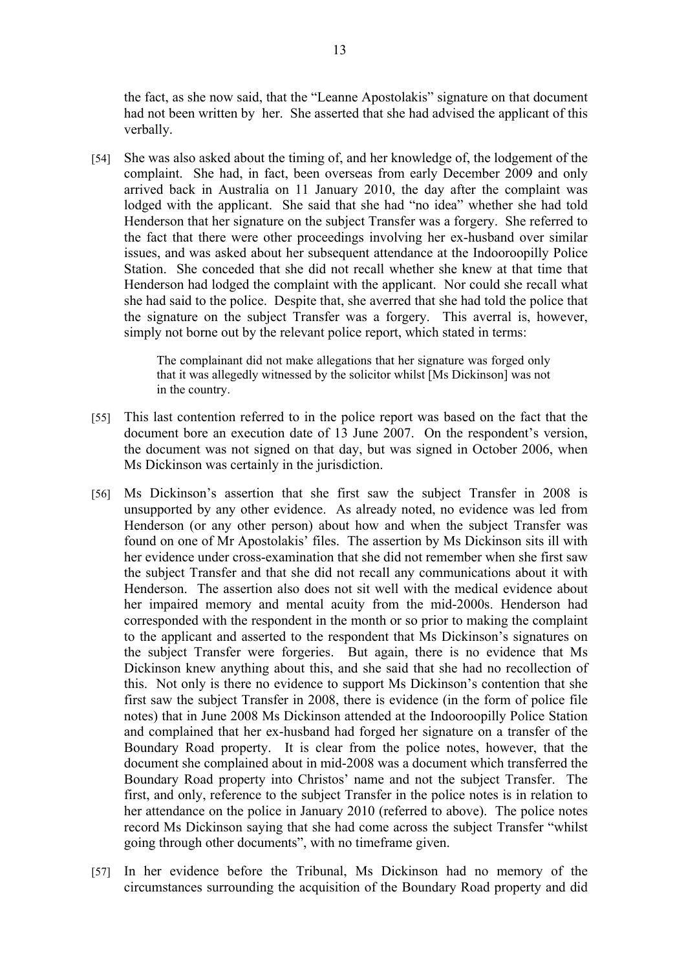the fact, as she now said, that the "Leanne Apostolakis" signature on that document had not been written by her. She asserted that she had advised the applicant of this verbally.

[54] She was also asked about the timing of, and her knowledge of, the lodgement of the complaint. She had, in fact, been overseas from early December 2009 and only arrived back in Australia on 11 January 2010, the day after the complaint was lodged with the applicant. She said that she had "no idea" whether she had told Henderson that her signature on the subject Transfer was a forgery. She referred to the fact that there were other proceedings involving her ex-husband over similar issues, and was asked about her subsequent attendance at the Indooroopilly Police Station. She conceded that she did not recall whether she knew at that time that Henderson had lodged the complaint with the applicant. Nor could she recall what she had said to the police. Despite that, she averred that she had told the police that the signature on the subject Transfer was a forgery. This averral is, however, simply not borne out by the relevant police report, which stated in terms:

> The complainant did not make allegations that her signature was forged only that it was allegedly witnessed by the solicitor whilst [Ms Dickinson] was not in the country.

- [55] This last contention referred to in the police report was based on the fact that the document bore an execution date of 13 June 2007. On the respondent's version, the document was not signed on that day, but was signed in October 2006, when Ms Dickinson was certainly in the jurisdiction.
- [56] Ms Dickinson's assertion that she first saw the subject Transfer in 2008 is unsupported by any other evidence. As already noted, no evidence was led from Henderson (or any other person) about how and when the subject Transfer was found on one of Mr Apostolakis' files. The assertion by Ms Dickinson sits ill with her evidence under cross-examination that she did not remember when she first saw the subject Transfer and that she did not recall any communications about it with Henderson. The assertion also does not sit well with the medical evidence about her impaired memory and mental acuity from the mid-2000s. Henderson had corresponded with the respondent in the month or so prior to making the complaint to the applicant and asserted to the respondent that Ms Dickinson's signatures on the subject Transfer were forgeries. But again, there is no evidence that Ms Dickinson knew anything about this, and she said that she had no recollection of this. Not only is there no evidence to support Ms Dickinson's contention that she first saw the subject Transfer in 2008, there is evidence (in the form of police file notes) that in June 2008 Ms Dickinson attended at the Indooroopilly Police Station and complained that her ex-husband had forged her signature on a transfer of the Boundary Road property. It is clear from the police notes, however, that the document she complained about in mid-2008 was a document which transferred the Boundary Road property into Christos' name and not the subject Transfer. The first, and only, reference to the subject Transfer in the police notes is in relation to her attendance on the police in January 2010 (referred to above). The police notes record Ms Dickinson saying that she had come across the subject Transfer "whilst going through other documents", with no timeframe given.
- [57] In her evidence before the Tribunal, Ms Dickinson had no memory of the circumstances surrounding the acquisition of the Boundary Road property and did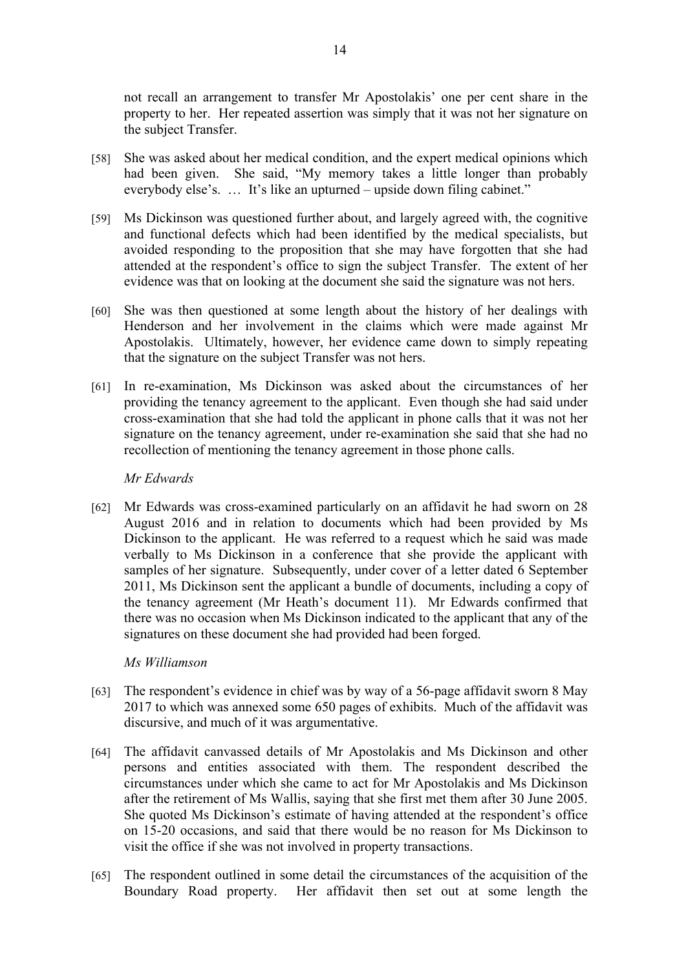not recall an arrangement to transfer Mr Apostolakis' one per cent share in the property to her. Her repeated assertion was simply that it was not her signature on the subject Transfer.

- [58] She was asked about her medical condition, and the expert medical opinions which had been given. She said, "My memory takes a little longer than probably everybody else's. … It's like an upturned – upside down filing cabinet."
- [59] Ms Dickinson was questioned further about, and largely agreed with, the cognitive and functional defects which had been identified by the medical specialists, but avoided responding to the proposition that she may have forgotten that she had attended at the respondent's office to sign the subject Transfer. The extent of her evidence was that on looking at the document she said the signature was not hers.
- [60] She was then questioned at some length about the history of her dealings with Henderson and her involvement in the claims which were made against Mr Apostolakis. Ultimately, however, her evidence came down to simply repeating that the signature on the subject Transfer was not hers.
- [61] In re-examination, Ms Dickinson was asked about the circumstances of her providing the tenancy agreement to the applicant. Even though she had said under cross-examination that she had told the applicant in phone calls that it was not her signature on the tenancy agreement, under re-examination she said that she had no recollection of mentioning the tenancy agreement in those phone calls.

# *Mr Edwards*

[62] Mr Edwards was cross-examined particularly on an affidavit he had sworn on 28 August 2016 and in relation to documents which had been provided by Ms Dickinson to the applicant. He was referred to a request which he said was made verbally to Ms Dickinson in a conference that she provide the applicant with samples of her signature. Subsequently, under cover of a letter dated 6 September 2011, Ms Dickinson sent the applicant a bundle of documents, including a copy of the tenancy agreement (Mr Heath's document 11). Mr Edwards confirmed that there was no occasion when Ms Dickinson indicated to the applicant that any of the signatures on these document she had provided had been forged.

# *Ms Williamson*

- [63] The respondent's evidence in chief was by way of a 56-page affidavit sworn 8 May 2017 to which was annexed some 650 pages of exhibits. Much of the affidavit was discursive, and much of it was argumentative.
- [64] The affidavit canvassed details of Mr Apostolakis and Ms Dickinson and other persons and entities associated with them. The respondent described the circumstances under which she came to act for Mr Apostolakis and Ms Dickinson after the retirement of Ms Wallis, saying that she first met them after 30 June 2005. She quoted Ms Dickinson's estimate of having attended at the respondent's office on 15-20 occasions, and said that there would be no reason for Ms Dickinson to visit the office if she was not involved in property transactions.
- [65] The respondent outlined in some detail the circumstances of the acquisition of the Boundary Road property. Her affidavit then set out at some length the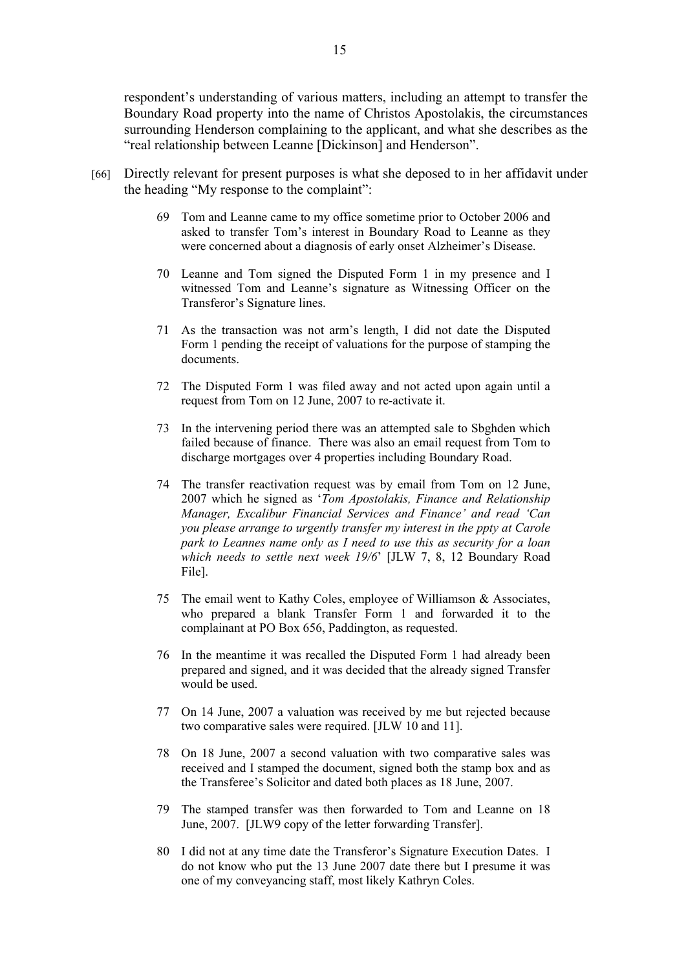respondent's understanding of various matters, including an attempt to transfer the Boundary Road property into the name of Christos Apostolakis, the circumstances surrounding Henderson complaining to the applicant, and what she describes as the "real relationship between Leanne [Dickinson] and Henderson".

- [66] Directly relevant for present purposes is what she deposed to in her affidavit under the heading "My response to the complaint":
	- 69 Tom and Leanne came to my office sometime prior to October 2006 and asked to transfer Tom's interest in Boundary Road to Leanne as they were concerned about a diagnosis of early onset Alzheimer's Disease.
	- 70 Leanne and Tom signed the Disputed Form 1 in my presence and I witnessed Tom and Leanne's signature as Witnessing Officer on the Transferor's Signature lines.
	- 71 As the transaction was not arm's length, I did not date the Disputed Form 1 pending the receipt of valuations for the purpose of stamping the documents.
	- 72 The Disputed Form 1 was filed away and not acted upon again until a request from Tom on 12 June, 2007 to re-activate it.
	- 73 In the intervening period there was an attempted sale to Sbghden which failed because of finance. There was also an email request from Tom to discharge mortgages over 4 properties including Boundary Road.
	- 74 The transfer reactivation request was by email from Tom on 12 June, 2007 which he signed as '*Tom Apostolakis, Finance and Relationship Manager, Excalibur Financial Services and Finance' and read 'Can you please arrange to urgently transfer my interest in the ppty at Carole park to Leannes name only as I need to use this as security for a loan which needs to settle next week 19/6*' [JLW 7, 8, 12 Boundary Road File].
	- 75 The email went to Kathy Coles, employee of Williamson & Associates, who prepared a blank Transfer Form 1 and forwarded it to the complainant at PO Box 656, Paddington, as requested.
	- 76 In the meantime it was recalled the Disputed Form 1 had already been prepared and signed, and it was decided that the already signed Transfer would be used.
	- 77 On 14 June, 2007 a valuation was received by me but rejected because two comparative sales were required. [JLW 10 and 11].
	- 78 On 18 June, 2007 a second valuation with two comparative sales was received and I stamped the document, signed both the stamp box and as the Transferee's Solicitor and dated both places as 18 June, 2007.
	- 79 The stamped transfer was then forwarded to Tom and Leanne on 18 June, 2007. [JLW9 copy of the letter forwarding Transfer].
	- 80 I did not at any time date the Transferor's Signature Execution Dates. I do not know who put the 13 June 2007 date there but I presume it was one of my conveyancing staff, most likely Kathryn Coles.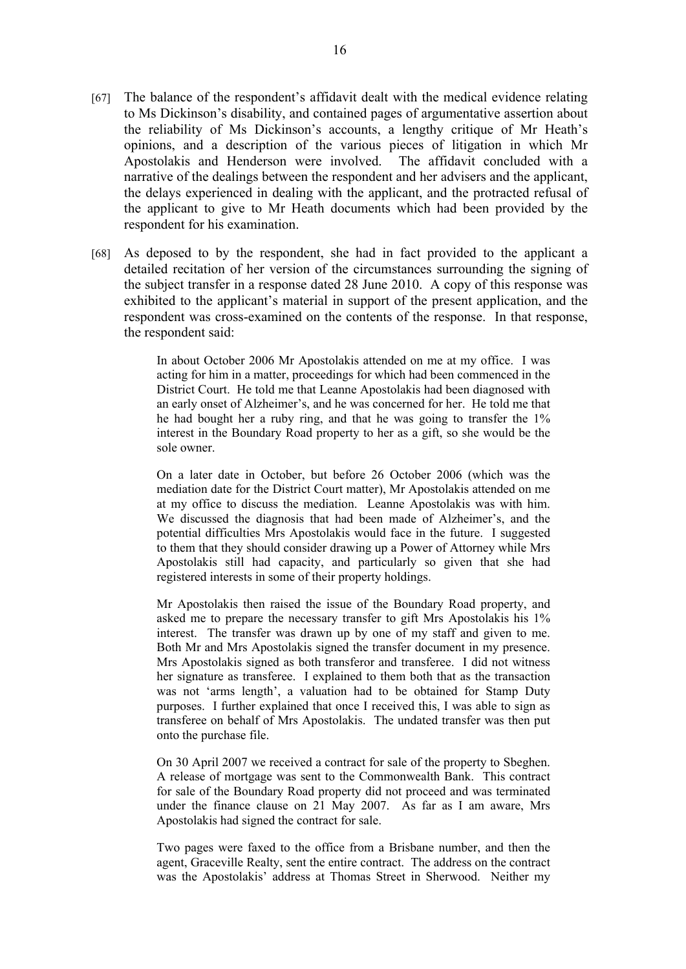- [67] The balance of the respondent's affidavit dealt with the medical evidence relating to Ms Dickinson's disability, and contained pages of argumentative assertion about the reliability of Ms Dickinson's accounts, a lengthy critique of Mr Heath's opinions, and a description of the various pieces of litigation in which Mr Apostolakis and Henderson were involved. The affidavit concluded with a narrative of the dealings between the respondent and her advisers and the applicant, the delays experienced in dealing with the applicant, and the protracted refusal of the applicant to give to Mr Heath documents which had been provided by the respondent for his examination.
- [68] As deposed to by the respondent, she had in fact provided to the applicant a detailed recitation of her version of the circumstances surrounding the signing of the subject transfer in a response dated 28 June 2010. A copy of this response was exhibited to the applicant's material in support of the present application, and the respondent was cross-examined on the contents of the response. In that response, the respondent said:

In about October 2006 Mr Apostolakis attended on me at my office. I was acting for him in a matter, proceedings for which had been commenced in the District Court. He told me that Leanne Apostolakis had been diagnosed with an early onset of Alzheimer's, and he was concerned for her. He told me that he had bought her a ruby ring, and that he was going to transfer the 1% interest in the Boundary Road property to her as a gift, so she would be the sole owner.

On a later date in October, but before 26 October 2006 (which was the mediation date for the District Court matter), Mr Apostolakis attended on me at my office to discuss the mediation. Leanne Apostolakis was with him. We discussed the diagnosis that had been made of Alzheimer's, and the potential difficulties Mrs Apostolakis would face in the future. I suggested to them that they should consider drawing up a Power of Attorney while Mrs Apostolakis still had capacity, and particularly so given that she had registered interests in some of their property holdings.

Mr Apostolakis then raised the issue of the Boundary Road property, and asked me to prepare the necessary transfer to gift Mrs Apostolakis his 1% interest. The transfer was drawn up by one of my staff and given to me. Both Mr and Mrs Apostolakis signed the transfer document in my presence. Mrs Apostolakis signed as both transferor and transferee. I did not witness her signature as transferee. I explained to them both that as the transaction was not 'arms length', a valuation had to be obtained for Stamp Duty purposes. I further explained that once I received this, I was able to sign as transferee on behalf of Mrs Apostolakis. The undated transfer was then put onto the purchase file.

On 30 April 2007 we received a contract for sale of the property to Sbeghen. A release of mortgage was sent to the Commonwealth Bank. This contract for sale of the Boundary Road property did not proceed and was terminated under the finance clause on 21 May 2007. As far as I am aware, Mrs Apostolakis had signed the contract for sale.

Two pages were faxed to the office from a Brisbane number, and then the agent, Graceville Realty, sent the entire contract. The address on the contract was the Apostolakis' address at Thomas Street in Sherwood. Neither my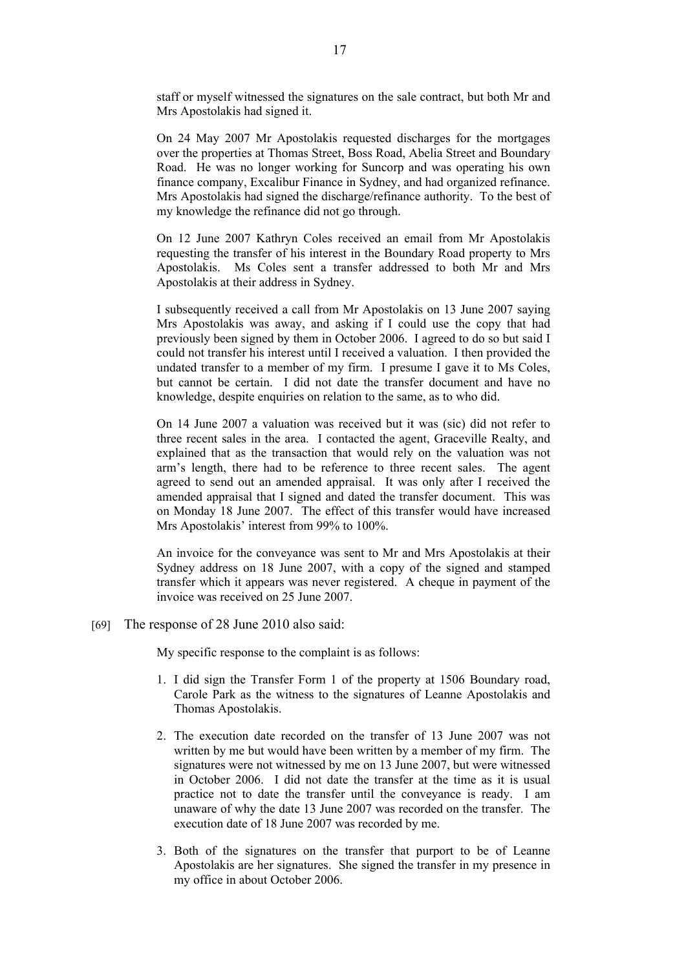staff or myself witnessed the signatures on the sale contract, but both Mr and Mrs Apostolakis had signed it.

On 24 May 2007 Mr Apostolakis requested discharges for the mortgages over the properties at Thomas Street, Boss Road, Abelia Street and Boundary Road. He was no longer working for Suncorp and was operating his own finance company, Excalibur Finance in Sydney, and had organized refinance. Mrs Apostolakis had signed the discharge/refinance authority. To the best of my knowledge the refinance did not go through.

On 12 June 2007 Kathryn Coles received an email from Mr Apostolakis requesting the transfer of his interest in the Boundary Road property to Mrs Apostolakis. Ms Coles sent a transfer addressed to both Mr and Mrs Apostolakis at their address in Sydney.

I subsequently received a call from Mr Apostolakis on 13 June 2007 saying Mrs Apostolakis was away, and asking if I could use the copy that had previously been signed by them in October 2006. I agreed to do so but said I could not transfer his interest until I received a valuation. I then provided the undated transfer to a member of my firm. I presume I gave it to Ms Coles, but cannot be certain. I did not date the transfer document and have no knowledge, despite enquiries on relation to the same, as to who did.

On 14 June 2007 a valuation was received but it was (sic) did not refer to three recent sales in the area. I contacted the agent, Graceville Realty, and explained that as the transaction that would rely on the valuation was not arm's length, there had to be reference to three recent sales. The agent agreed to send out an amended appraisal. It was only after I received the amended appraisal that I signed and dated the transfer document. This was on Monday 18 June 2007. The effect of this transfer would have increased Mrs Apostolakis' interest from 99% to 100%.

An invoice for the conveyance was sent to Mr and Mrs Apostolakis at their Sydney address on 18 June 2007, with a copy of the signed and stamped transfer which it appears was never registered. A cheque in payment of the invoice was received on 25 June 2007.

[69] The response of 28 June 2010 also said:

My specific response to the complaint is as follows:

- 1. I did sign the Transfer Form 1 of the property at 1506 Boundary road, Carole Park as the witness to the signatures of Leanne Apostolakis and Thomas Apostolakis.
- 2. The execution date recorded on the transfer of 13 June 2007 was not written by me but would have been written by a member of my firm. The signatures were not witnessed by me on 13 June 2007, but were witnessed in October 2006. I did not date the transfer at the time as it is usual practice not to date the transfer until the conveyance is ready. I am unaware of why the date 13 June 2007 was recorded on the transfer. The execution date of 18 June 2007 was recorded by me.
- 3. Both of the signatures on the transfer that purport to be of Leanne Apostolakis are her signatures. She signed the transfer in my presence in my office in about October 2006.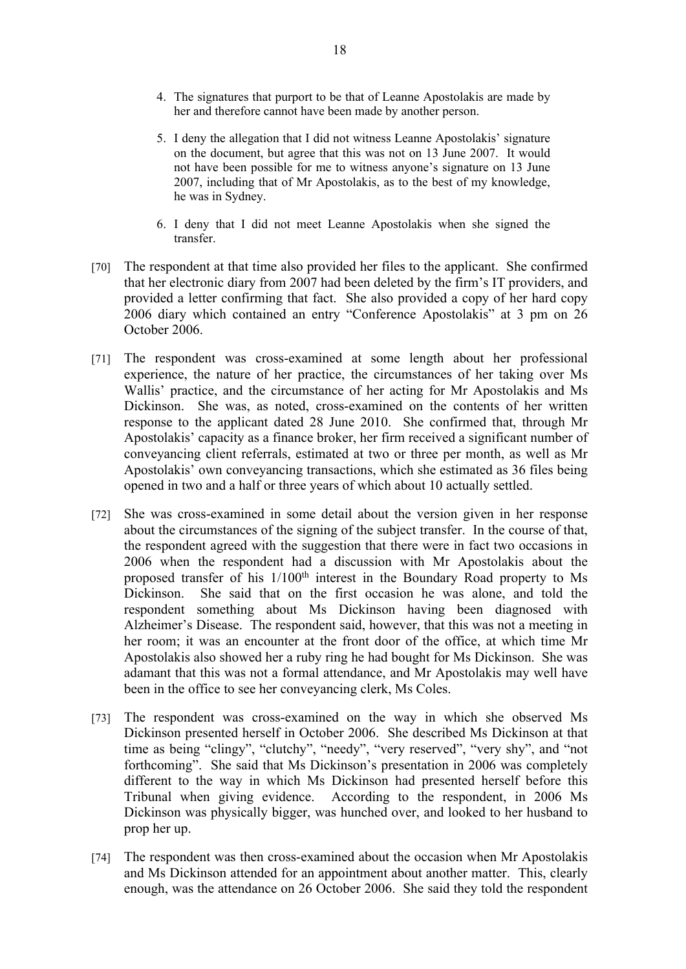- 4. The signatures that purport to be that of Leanne Apostolakis are made by her and therefore cannot have been made by another person.
- 5. I deny the allegation that I did not witness Leanne Apostolakis' signature on the document, but agree that this was not on 13 June 2007. It would not have been possible for me to witness anyone's signature on 13 June 2007, including that of Mr Apostolakis, as to the best of my knowledge, he was in Sydney.
- 6. I deny that I did not meet Leanne Apostolakis when she signed the transfer.
- [70] The respondent at that time also provided her files to the applicant. She confirmed that her electronic diary from 2007 had been deleted by the firm's IT providers, and provided a letter confirming that fact. She also provided a copy of her hard copy 2006 diary which contained an entry "Conference Apostolakis" at 3 pm on 26 October 2006.
- [71] The respondent was cross-examined at some length about her professional experience, the nature of her practice, the circumstances of her taking over Ms Wallis' practice, and the circumstance of her acting for Mr Apostolakis and Ms Dickinson. She was, as noted, cross-examined on the contents of her written response to the applicant dated 28 June 2010. She confirmed that, through Mr Apostolakis' capacity as a finance broker, her firm received a significant number of conveyancing client referrals, estimated at two or three per month, as well as Mr Apostolakis' own conveyancing transactions, which she estimated as 36 files being opened in two and a half or three years of which about 10 actually settled.
- [72] She was cross-examined in some detail about the version given in her response about the circumstances of the signing of the subject transfer. In the course of that, the respondent agreed with the suggestion that there were in fact two occasions in 2006 when the respondent had a discussion with Mr Apostolakis about the proposed transfer of his 1/100th interest in the Boundary Road property to Ms Dickinson. She said that on the first occasion he was alone, and told the respondent something about Ms Dickinson having been diagnosed with Alzheimer's Disease. The respondent said, however, that this was not a meeting in her room; it was an encounter at the front door of the office, at which time Mr Apostolakis also showed her a ruby ring he had bought for Ms Dickinson. She was adamant that this was not a formal attendance, and Mr Apostolakis may well have been in the office to see her conveyancing clerk, Ms Coles.
- [73] The respondent was cross-examined on the way in which she observed Ms Dickinson presented herself in October 2006. She described Ms Dickinson at that time as being "clingy", "clutchy", "needy", "very reserved", "very shy", and "not forthcoming". She said that Ms Dickinson's presentation in 2006 was completely different to the way in which Ms Dickinson had presented herself before this Tribunal when giving evidence. According to the respondent, in 2006 Ms Dickinson was physically bigger, was hunched over, and looked to her husband to prop her up.
- [74] The respondent was then cross-examined about the occasion when Mr Apostolakis and Ms Dickinson attended for an appointment about another matter. This, clearly enough, was the attendance on 26 October 2006. She said they told the respondent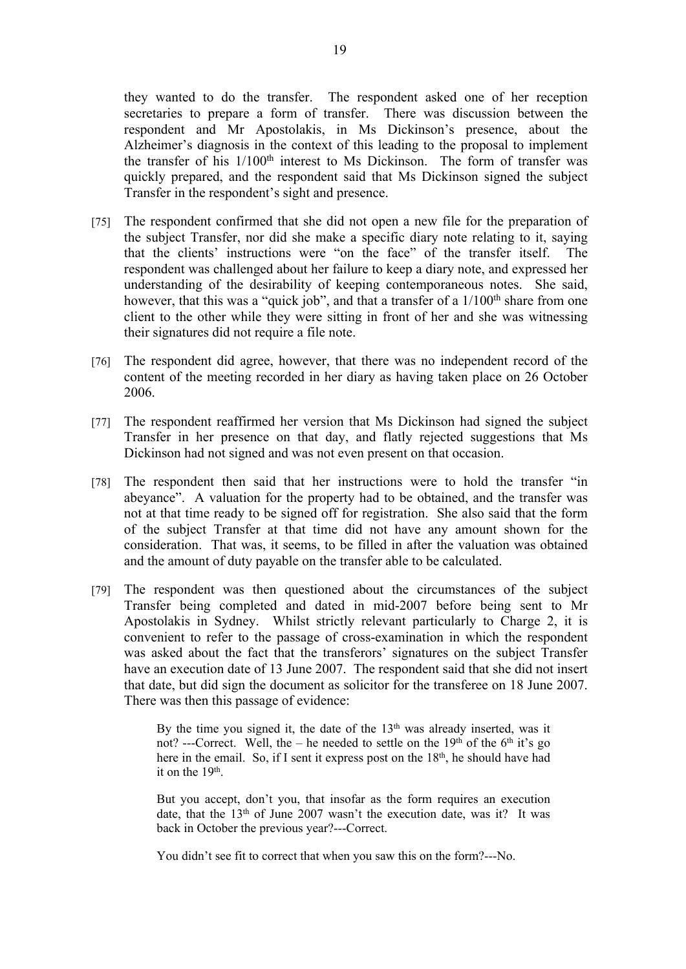they wanted to do the transfer. The respondent asked one of her reception secretaries to prepare a form of transfer. There was discussion between the respondent and Mr Apostolakis, in Ms Dickinson's presence, about the Alzheimer's diagnosis in the context of this leading to the proposal to implement the transfer of his  $1/100<sup>th</sup>$  interest to Ms Dickinson. The form of transfer was quickly prepared, and the respondent said that Ms Dickinson signed the subject Transfer in the respondent's sight and presence.

- [75] The respondent confirmed that she did not open a new file for the preparation of the subject Transfer, nor did she make a specific diary note relating to it, saying that the clients' instructions were "on the face" of the transfer itself. The respondent was challenged about her failure to keep a diary note, and expressed her understanding of the desirability of keeping contemporaneous notes. She said, however, that this was a "quick job", and that a transfer of a  $1/100<sup>th</sup>$  share from one client to the other while they were sitting in front of her and she was witnessing their signatures did not require a file note.
- [76] The respondent did agree, however, that there was no independent record of the content of the meeting recorded in her diary as having taken place on 26 October 2006.
- [77] The respondent reaffirmed her version that Ms Dickinson had signed the subject Transfer in her presence on that day, and flatly rejected suggestions that Ms Dickinson had not signed and was not even present on that occasion.
- [78] The respondent then said that her instructions were to hold the transfer "in abeyance". A valuation for the property had to be obtained, and the transfer was not at that time ready to be signed off for registration. She also said that the form of the subject Transfer at that time did not have any amount shown for the consideration. That was, it seems, to be filled in after the valuation was obtained and the amount of duty payable on the transfer able to be calculated.
- [79] The respondent was then questioned about the circumstances of the subject Transfer being completed and dated in mid-2007 before being sent to Mr Apostolakis in Sydney. Whilst strictly relevant particularly to Charge 2, it is convenient to refer to the passage of cross-examination in which the respondent was asked about the fact that the transferors' signatures on the subject Transfer have an execution date of 13 June 2007. The respondent said that she did not insert that date, but did sign the document as solicitor for the transferee on 18 June 2007. There was then this passage of evidence:

By the time you signed it, the date of the  $13<sup>th</sup>$  was already inserted, was it not? ---Correct. Well, the – he needed to settle on the  $19<sup>th</sup>$  of the 6<sup>th</sup> it's go here in the email. So, if I sent it express post on the  $18<sup>th</sup>$ , he should have had it on the 19<sup>th</sup>.

But you accept, don't you, that insofar as the form requires an execution date, that the  $13<sup>th</sup>$  of June 2007 wasn't the execution date, was it? It was back in October the previous year?---Correct.

You didn't see fit to correct that when you saw this on the form?---No.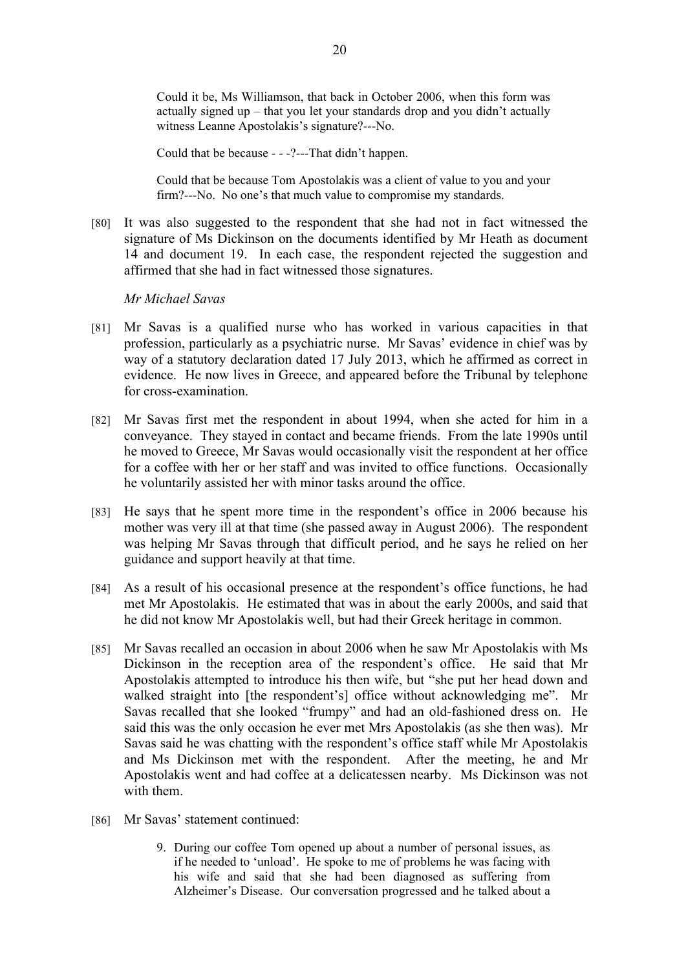Could it be, Ms Williamson, that back in October 2006, when this form was actually signed up – that you let your standards drop and you didn't actually witness Leanne Apostolakis's signature?---No.

Could that be because - - -?---That didn't happen.

Could that be because Tom Apostolakis was a client of value to you and your firm?---No. No one's that much value to compromise my standards.

[80] It was also suggested to the respondent that she had not in fact witnessed the signature of Ms Dickinson on the documents identified by Mr Heath as document 14 and document 19. In each case, the respondent rejected the suggestion and affirmed that she had in fact witnessed those signatures.

## *Mr Michael Savas*

- [81] Mr Savas is a qualified nurse who has worked in various capacities in that profession, particularly as a psychiatric nurse. Mr Savas' evidence in chief was by way of a statutory declaration dated 17 July 2013, which he affirmed as correct in evidence. He now lives in Greece, and appeared before the Tribunal by telephone for cross-examination.
- [82] Mr Savas first met the respondent in about 1994, when she acted for him in a conveyance. They stayed in contact and became friends. From the late 1990s until he moved to Greece, Mr Savas would occasionally visit the respondent at her office for a coffee with her or her staff and was invited to office functions. Occasionally he voluntarily assisted her with minor tasks around the office.
- [83] He says that he spent more time in the respondent's office in 2006 because his mother was very ill at that time (she passed away in August 2006). The respondent was helping Mr Savas through that difficult period, and he says he relied on her guidance and support heavily at that time.
- [84] As a result of his occasional presence at the respondent's office functions, he had met Mr Apostolakis. He estimated that was in about the early 2000s, and said that he did not know Mr Apostolakis well, but had their Greek heritage in common.
- [85] Mr Savas recalled an occasion in about 2006 when he saw Mr Apostolakis with Ms Dickinson in the reception area of the respondent's office. He said that Mr Apostolakis attempted to introduce his then wife, but "she put her head down and walked straight into [the respondent's] office without acknowledging me". Mr Savas recalled that she looked "frumpy" and had an old-fashioned dress on. He said this was the only occasion he ever met Mrs Apostolakis (as she then was). Mr Savas said he was chatting with the respondent's office staff while Mr Apostolakis and Ms Dickinson met with the respondent. After the meeting, he and Mr Apostolakis went and had coffee at a delicatessen nearby. Ms Dickinson was not with them.
- [86] Mr Savas' statement continued:
	- 9. During our coffee Tom opened up about a number of personal issues, as if he needed to 'unload'. He spoke to me of problems he was facing with his wife and said that she had been diagnosed as suffering from Alzheimer's Disease. Our conversation progressed and he talked about a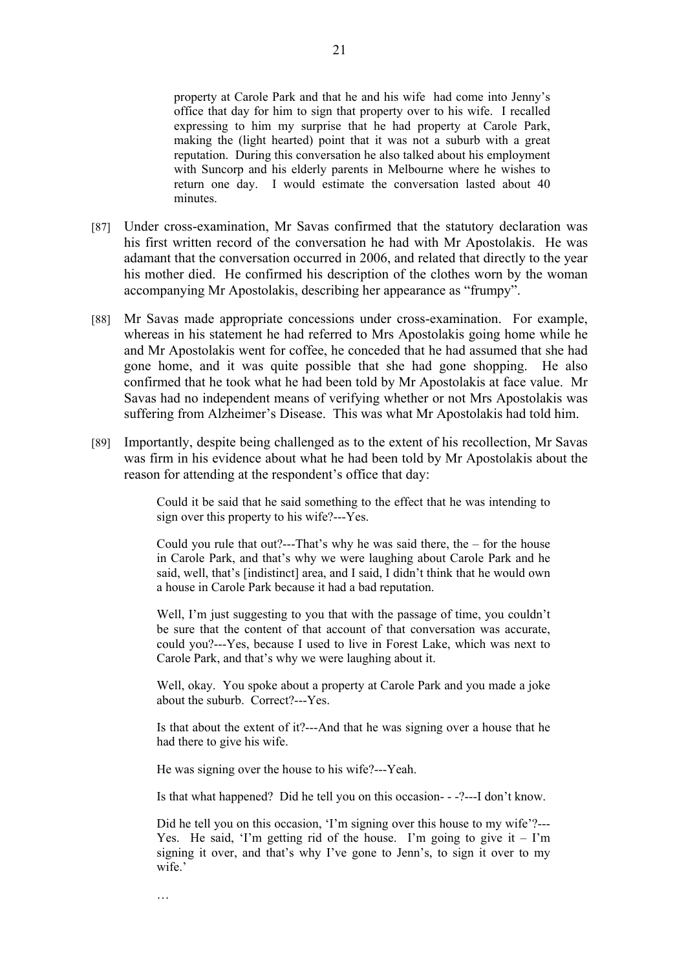property at Carole Park and that he and his wife had come into Jenny's office that day for him to sign that property over to his wife. I recalled expressing to him my surprise that he had property at Carole Park, making the (light hearted) point that it was not a suburb with a great reputation. During this conversation he also talked about his employment with Suncorp and his elderly parents in Melbourne where he wishes to return one day. I would estimate the conversation lasted about 40 minutes.

- [87] Under cross-examination, Mr Savas confirmed that the statutory declaration was his first written record of the conversation he had with Mr Apostolakis. He was adamant that the conversation occurred in 2006, and related that directly to the year his mother died. He confirmed his description of the clothes worn by the woman accompanying Mr Apostolakis, describing her appearance as "frumpy".
- [88] Mr Savas made appropriate concessions under cross-examination. For example, whereas in his statement he had referred to Mrs Apostolakis going home while he and Mr Apostolakis went for coffee, he conceded that he had assumed that she had gone home, and it was quite possible that she had gone shopping. He also confirmed that he took what he had been told by Mr Apostolakis at face value. Mr Savas had no independent means of verifying whether or not Mrs Apostolakis was suffering from Alzheimer's Disease. This was what Mr Apostolakis had told him.
- [89] Importantly, despite being challenged as to the extent of his recollection, Mr Savas was firm in his evidence about what he had been told by Mr Apostolakis about the reason for attending at the respondent's office that day:

Could it be said that he said something to the effect that he was intending to sign over this property to his wife?---Yes.

Could you rule that out?---That's why he was said there, the – for the house in Carole Park, and that's why we were laughing about Carole Park and he said, well, that's [indistinct] area, and I said, I didn't think that he would own a house in Carole Park because it had a bad reputation.

Well, I'm just suggesting to you that with the passage of time, you couldn't be sure that the content of that account of that conversation was accurate, could you?---Yes, because I used to live in Forest Lake, which was next to Carole Park, and that's why we were laughing about it.

Well, okay. You spoke about a property at Carole Park and you made a joke about the suburb. Correct?---Yes.

Is that about the extent of it?---And that he was signing over a house that he had there to give his wife.

He was signing over the house to his wife?---Yeah.

…

Is that what happened? Did he tell you on this occasion- - -?---I don't know.

Did he tell you on this occasion. T'm signing over this house to my wife'?---Yes. He said, 'I'm getting rid of the house. I'm going to give it  $-$  I'm signing it over, and that's why I've gone to Jenn's, to sign it over to my wife.'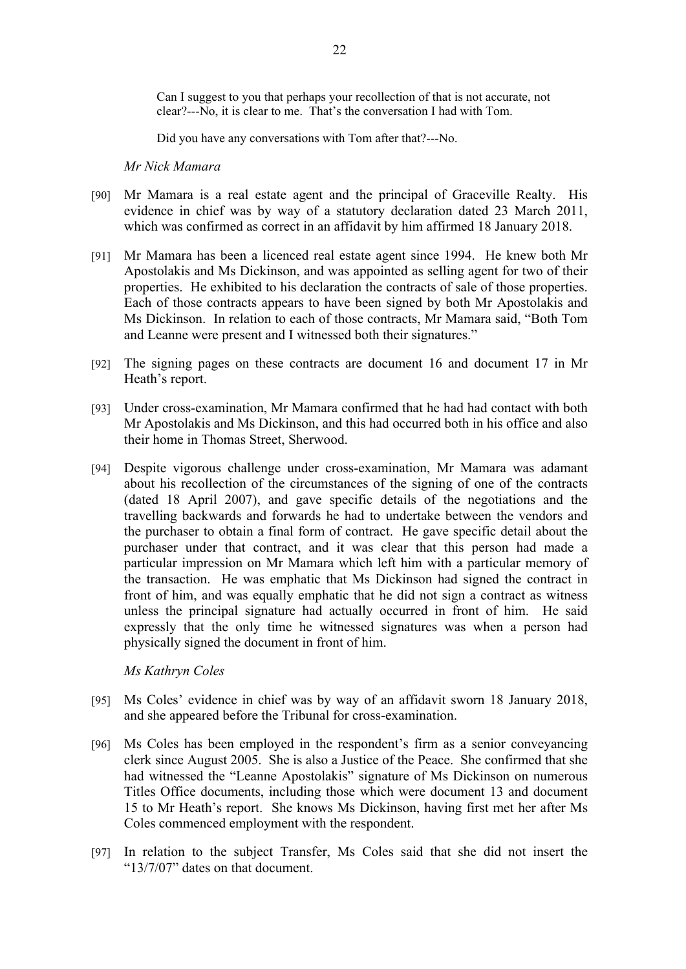Can I suggest to you that perhaps your recollection of that is not accurate, not clear?---No, it is clear to me. That's the conversation I had with Tom.

Did you have any conversations with Tom after that?---No.

*Mr Nick Mamara*

- [90] Mr Mamara is a real estate agent and the principal of Graceville Realty. His evidence in chief was by way of a statutory declaration dated 23 March 2011, which was confirmed as correct in an affidavit by him affirmed 18 January 2018.
- [91] Mr Mamara has been a licenced real estate agent since 1994. He knew both Mr Apostolakis and Ms Dickinson, and was appointed as selling agent for two of their properties. He exhibited to his declaration the contracts of sale of those properties. Each of those contracts appears to have been signed by both Mr Apostolakis and Ms Dickinson. In relation to each of those contracts, Mr Mamara said, "Both Tom and Leanne were present and I witnessed both their signatures."
- [92] The signing pages on these contracts are document 16 and document 17 in Mr Heath's report.
- [93] Under cross-examination, Mr Mamara confirmed that he had had contact with both Mr Apostolakis and Ms Dickinson, and this had occurred both in his office and also their home in Thomas Street, Sherwood.
- [94] Despite vigorous challenge under cross-examination, Mr Mamara was adamant about his recollection of the circumstances of the signing of one of the contracts (dated 18 April 2007), and gave specific details of the negotiations and the travelling backwards and forwards he had to undertake between the vendors and the purchaser to obtain a final form of contract. He gave specific detail about the purchaser under that contract, and it was clear that this person had made a particular impression on Mr Mamara which left him with a particular memory of the transaction. He was emphatic that Ms Dickinson had signed the contract in front of him, and was equally emphatic that he did not sign a contract as witness unless the principal signature had actually occurred in front of him. He said expressly that the only time he witnessed signatures was when a person had physically signed the document in front of him.

*Ms Kathryn Coles*

- [95] Ms Coles' evidence in chief was by way of an affidavit sworn 18 January 2018, and she appeared before the Tribunal for cross-examination.
- [96] Ms Coles has been employed in the respondent's firm as a senior conveyancing clerk since August 2005. She is also a Justice of the Peace. She confirmed that she had witnessed the "Leanne Apostolakis" signature of Ms Dickinson on numerous Titles Office documents, including those which were document 13 and document 15 to Mr Heath's report. She knows Ms Dickinson, having first met her after Ms Coles commenced employment with the respondent.
- [97] In relation to the subject Transfer, Ms Coles said that she did not insert the "13/7/07" dates on that document.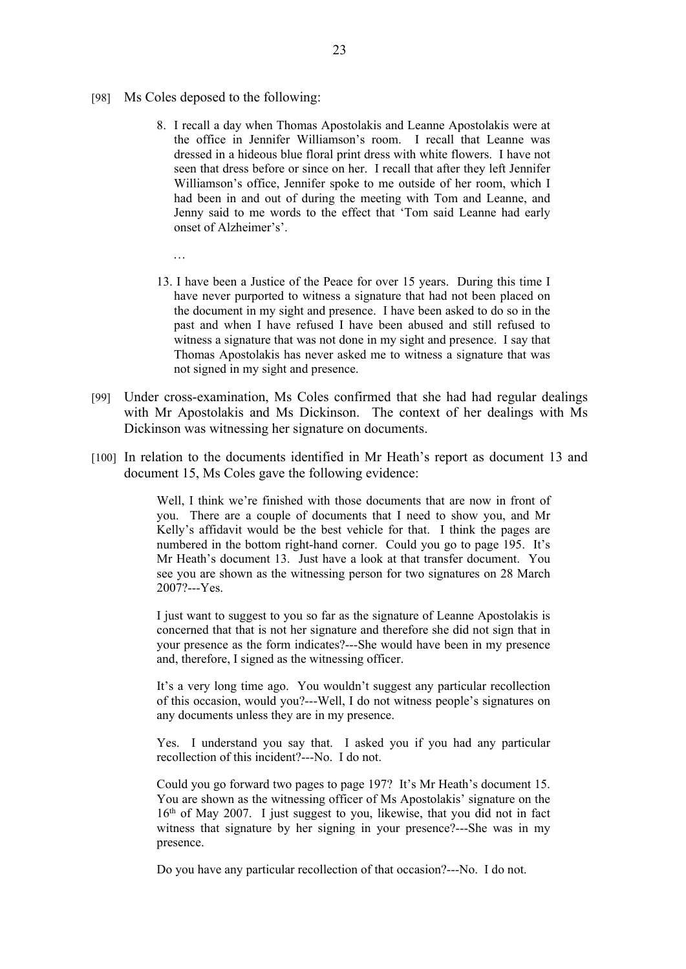- [98] Ms Coles deposed to the following:
	- 8. I recall a day when Thomas Apostolakis and Leanne Apostolakis were at the office in Jennifer Williamson's room. I recall that Leanne was dressed in a hideous blue floral print dress with white flowers. I have not seen that dress before or since on her. I recall that after they left Jennifer Williamson's office, Jennifer spoke to me outside of her room, which I had been in and out of during the meeting with Tom and Leanne, and Jenny said to me words to the effect that 'Tom said Leanne had early onset of Alzheimer's'.
		-
	- 13. I have been a Justice of the Peace for over 15 years. During this time I have never purported to witness a signature that had not been placed on the document in my sight and presence. I have been asked to do so in the past and when I have refused I have been abused and still refused to witness a signature that was not done in my sight and presence. I say that Thomas Apostolakis has never asked me to witness a signature that was not signed in my sight and presence.
- [99] Under cross-examination, Ms Coles confirmed that she had had regular dealings with Mr Apostolakis and Ms Dickinson. The context of her dealings with Ms Dickinson was witnessing her signature on documents.
- [100] In relation to the documents identified in Mr Heath's report as document 13 and document 15, Ms Coles gave the following evidence:

Well, I think we're finished with those documents that are now in front of you. There are a couple of documents that I need to show you, and Mr Kelly's affidavit would be the best vehicle for that. I think the pages are numbered in the bottom right-hand corner. Could you go to page 195. It's Mr Heath's document 13. Just have a look at that transfer document. You see you are shown as the witnessing person for two signatures on 28 March 2007?---Yes.

I just want to suggest to you so far as the signature of Leanne Apostolakis is concerned that that is not her signature and therefore she did not sign that in your presence as the form indicates?---She would have been in my presence and, therefore, I signed as the witnessing officer.

It's a very long time ago. You wouldn't suggest any particular recollection of this occasion, would you?---Well, I do not witness people's signatures on any documents unless they are in my presence.

Yes. I understand you say that. I asked you if you had any particular recollection of this incident?---No. I do not.

Could you go forward two pages to page 197? It's Mr Heath's document 15. You are shown as the witnessing officer of Ms Apostolakis' signature on the  $16<sup>th</sup>$  of May 2007. I just suggest to you, likewise, that you did not in fact witness that signature by her signing in your presence?---She was in my presence.

Do you have any particular recollection of that occasion?---No. I do not.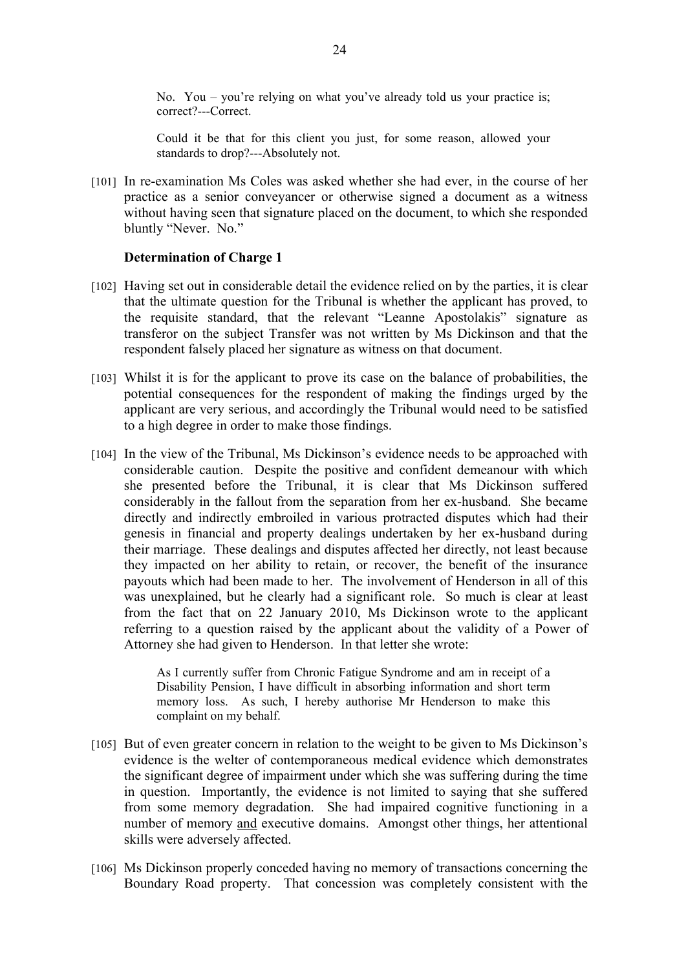No. You – you're relying on what you've already told us your practice is; correct?---Correct.

Could it be that for this client you just, for some reason, allowed your standards to drop?---Absolutely not.

[101] In re-examination Ms Coles was asked whether she had ever, in the course of her practice as a senior conveyancer or otherwise signed a document as a witness without having seen that signature placed on the document, to which she responded bluntly "Never. No."

#### **Determination of Charge 1**

- [102] Having set out in considerable detail the evidence relied on by the parties, it is clear that the ultimate question for the Tribunal is whether the applicant has proved, to the requisite standard, that the relevant "Leanne Apostolakis" signature as transferor on the subject Transfer was not written by Ms Dickinson and that the respondent falsely placed her signature as witness on that document.
- [103] Whilst it is for the applicant to prove its case on the balance of probabilities, the potential consequences for the respondent of making the findings urged by the applicant are very serious, and accordingly the Tribunal would need to be satisfied to a high degree in order to make those findings.
- [104] In the view of the Tribunal, Ms Dickinson's evidence needs to be approached with considerable caution. Despite the positive and confident demeanour with which she presented before the Tribunal, it is clear that Ms Dickinson suffered considerably in the fallout from the separation from her ex-husband. She became directly and indirectly embroiled in various protracted disputes which had their genesis in financial and property dealings undertaken by her ex-husband during their marriage. These dealings and disputes affected her directly, not least because they impacted on her ability to retain, or recover, the benefit of the insurance payouts which had been made to her. The involvement of Henderson in all of this was unexplained, but he clearly had a significant role. So much is clear at least from the fact that on 22 January 2010, Ms Dickinson wrote to the applicant referring to a question raised by the applicant about the validity of a Power of Attorney she had given to Henderson. In that letter she wrote:

As I currently suffer from Chronic Fatigue Syndrome and am in receipt of a Disability Pension, I have difficult in absorbing information and short term memory loss. As such, I hereby authorise Mr Henderson to make this complaint on my behalf.

- [105] But of even greater concern in relation to the weight to be given to Ms Dickinson's evidence is the welter of contemporaneous medical evidence which demonstrates the significant degree of impairment under which she was suffering during the time in question. Importantly, the evidence is not limited to saying that she suffered from some memory degradation. She had impaired cognitive functioning in a number of memory and executive domains. Amongst other things, her attentional skills were adversely affected.
- [106] Ms Dickinson properly conceded having no memory of transactions concerning the Boundary Road property. That concession was completely consistent with the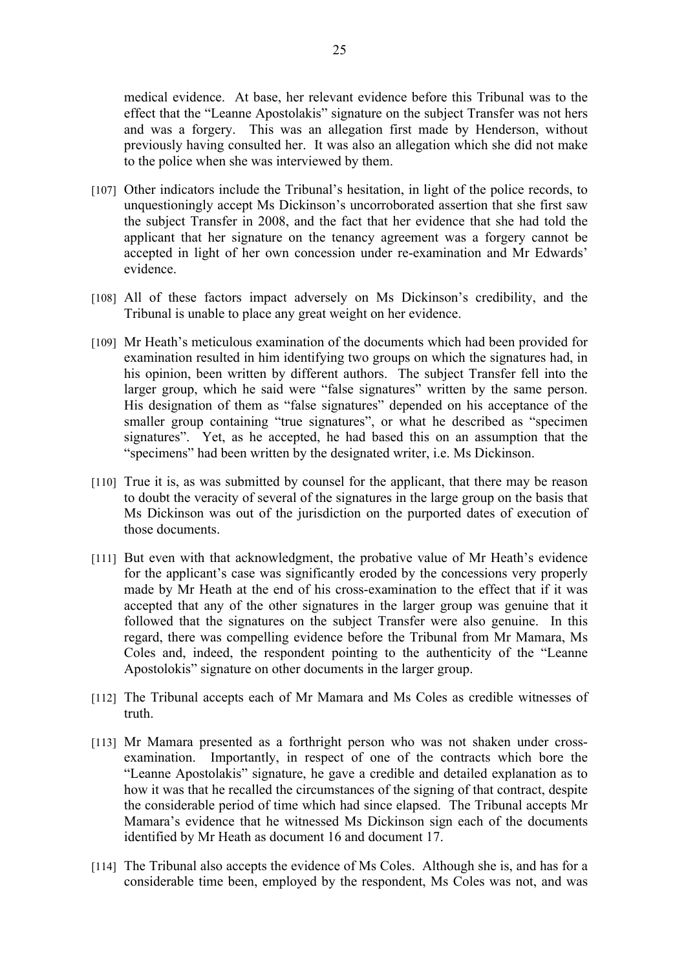medical evidence. At base, her relevant evidence before this Tribunal was to the effect that the "Leanne Apostolakis" signature on the subject Transfer was not hers and was a forgery. This was an allegation first made by Henderson, without previously having consulted her. It was also an allegation which she did not make to the police when she was interviewed by them.

- [107] Other indicators include the Tribunal's hesitation, in light of the police records, to unquestioningly accept Ms Dickinson's uncorroborated assertion that she first saw the subject Transfer in 2008, and the fact that her evidence that she had told the applicant that her signature on the tenancy agreement was a forgery cannot be accepted in light of her own concession under re-examination and Mr Edwards' evidence.
- [108] All of these factors impact adversely on Ms Dickinson's credibility, and the Tribunal is unable to place any great weight on her evidence.
- [109] Mr Heath's meticulous examination of the documents which had been provided for examination resulted in him identifying two groups on which the signatures had, in his opinion, been written by different authors. The subject Transfer fell into the larger group, which he said were "false signatures" written by the same person. His designation of them as "false signatures" depended on his acceptance of the smaller group containing "true signatures", or what he described as "specimen" signatures". Yet, as he accepted, he had based this on an assumption that the "specimens" had been written by the designated writer, i.e. Ms Dickinson.
- [110] True it is, as was submitted by counsel for the applicant, that there may be reason to doubt the veracity of several of the signatures in the large group on the basis that Ms Dickinson was out of the jurisdiction on the purported dates of execution of those documents.
- [111] But even with that acknowledgment, the probative value of Mr Heath's evidence for the applicant's case was significantly eroded by the concessions very properly made by Mr Heath at the end of his cross-examination to the effect that if it was accepted that any of the other signatures in the larger group was genuine that it followed that the signatures on the subject Transfer were also genuine. In this regard, there was compelling evidence before the Tribunal from Mr Mamara, Ms Coles and, indeed, the respondent pointing to the authenticity of the "Leanne Apostolokis" signature on other documents in the larger group.
- [112] The Tribunal accepts each of Mr Mamara and Ms Coles as credible witnesses of truth.
- [113] Mr Mamara presented as a forthright person who was not shaken under crossexamination. Importantly, in respect of one of the contracts which bore the "Leanne Apostolakis" signature, he gave a credible and detailed explanation as to how it was that he recalled the circumstances of the signing of that contract, despite the considerable period of time which had since elapsed. The Tribunal accepts Mr Mamara's evidence that he witnessed Ms Dickinson sign each of the documents identified by Mr Heath as document 16 and document 17.
- [114] The Tribunal also accepts the evidence of Ms Coles. Although she is, and has for a considerable time been, employed by the respondent, Ms Coles was not, and was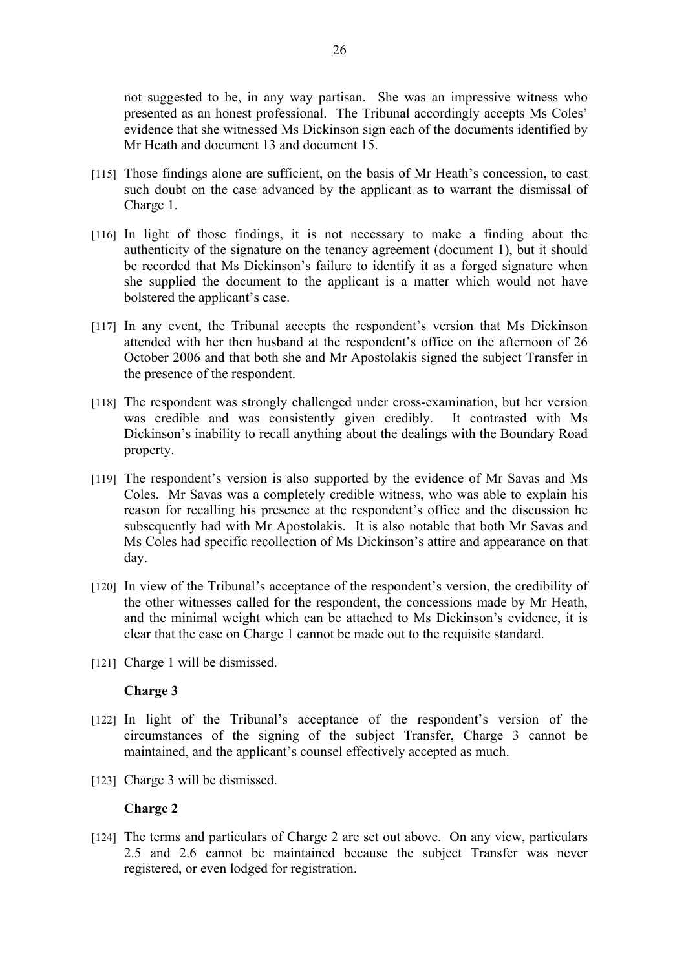not suggested to be, in any way partisan. She was an impressive witness who presented as an honest professional. The Tribunal accordingly accepts Ms Coles' evidence that she witnessed Ms Dickinson sign each of the documents identified by Mr Heath and document 13 and document 15.

- [115] Those findings alone are sufficient, on the basis of Mr Heath's concession, to cast such doubt on the case advanced by the applicant as to warrant the dismissal of Charge 1.
- [116] In light of those findings, it is not necessary to make a finding about the authenticity of the signature on the tenancy agreement (document 1), but it should be recorded that Ms Dickinson's failure to identify it as a forged signature when she supplied the document to the applicant is a matter which would not have bolstered the applicant's case.
- [117] In any event, the Tribunal accepts the respondent's version that Ms Dickinson attended with her then husband at the respondent's office on the afternoon of 26 October 2006 and that both she and Mr Apostolakis signed the subject Transfer in the presence of the respondent.
- [118] The respondent was strongly challenged under cross-examination, but her version was credible and was consistently given credibly. It contrasted with Ms Dickinson's inability to recall anything about the dealings with the Boundary Road property.
- [119] The respondent's version is also supported by the evidence of Mr Savas and Ms Coles. Mr Savas was a completely credible witness, who was able to explain his reason for recalling his presence at the respondent's office and the discussion he subsequently had with Mr Apostolakis. It is also notable that both Mr Savas and Ms Coles had specific recollection of Ms Dickinson's attire and appearance on that day.
- [120] In view of the Tribunal's acceptance of the respondent's version, the credibility of the other witnesses called for the respondent, the concessions made by Mr Heath, and the minimal weight which can be attached to Ms Dickinson's evidence, it is clear that the case on Charge 1 cannot be made out to the requisite standard.
- [121] Charge 1 will be dismissed.

# **Charge 3**

- [122] In light of the Tribunal's acceptance of the respondent's version of the circumstances of the signing of the subject Transfer, Charge 3 cannot be maintained, and the applicant's counsel effectively accepted as much.
- [123] Charge 3 will be dismissed.

# **Charge 2**

[124] The terms and particulars of Charge 2 are set out above. On any view, particulars 2.5 and 2.6 cannot be maintained because the subject Transfer was never registered, or even lodged for registration.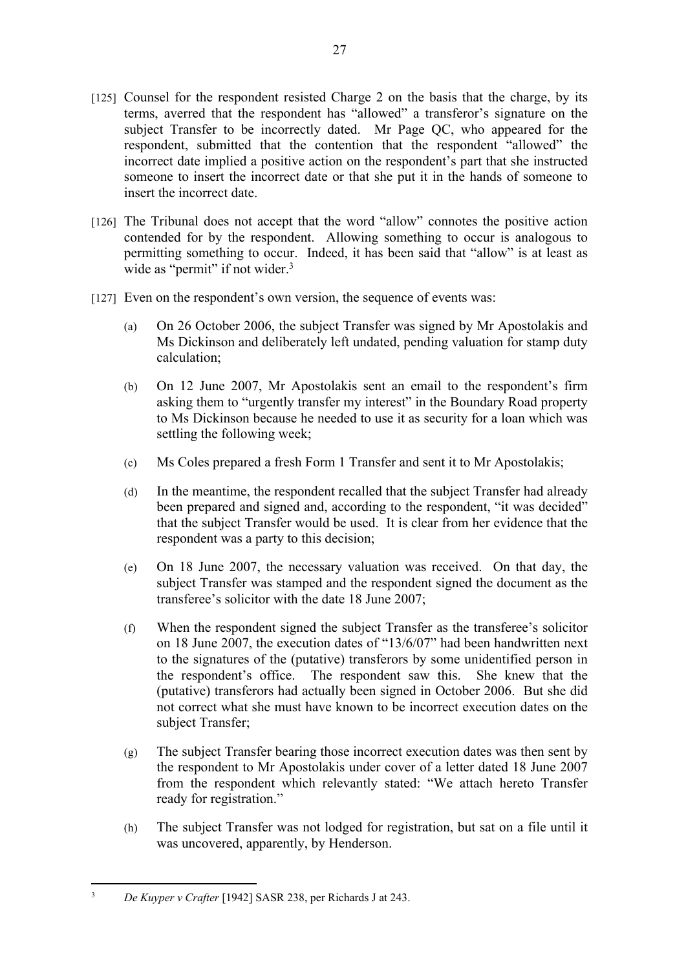- [125] Counsel for the respondent resisted Charge 2 on the basis that the charge, by its terms, averred that the respondent has "allowed" a transferor's signature on the subject Transfer to be incorrectly dated. Mr Page QC, who appeared for the respondent, submitted that the contention that the respondent "allowed" the incorrect date implied a positive action on the respondent's part that she instructed someone to insert the incorrect date or that she put it in the hands of someone to insert the incorrect date.
- [126] The Tribunal does not accept that the word "allow" connotes the positive action contended for by the respondent. Allowing something to occur is analogous to permitting something to occur. Indeed, it has been said that "allow" is at least as wide as "permit" if not wider.<sup>3</sup>
- [127] Even on the respondent's own version, the sequence of events was:
	- (a) On 26 October 2006, the subject Transfer was signed by Mr Apostolakis and Ms Dickinson and deliberately left undated, pending valuation for stamp duty calculation;
	- (b) On 12 June 2007, Mr Apostolakis sent an email to the respondent's firm asking them to "urgently transfer my interest" in the Boundary Road property to Ms Dickinson because he needed to use it as security for a loan which was settling the following week;
	- (c) Ms Coles prepared a fresh Form 1 Transfer and sent it to Mr Apostolakis;
	- (d) In the meantime, the respondent recalled that the subject Transfer had already been prepared and signed and, according to the respondent, "it was decided" that the subject Transfer would be used. It is clear from her evidence that the respondent was a party to this decision;
	- (e) On 18 June 2007, the necessary valuation was received. On that day, the subject Transfer was stamped and the respondent signed the document as the transferee's solicitor with the date 18 June 2007;
	- (f) When the respondent signed the subject Transfer as the transferee's solicitor on 18 June 2007, the execution dates of "13/6/07" had been handwritten next to the signatures of the (putative) transferors by some unidentified person in the respondent's office. The respondent saw this. She knew that the (putative) transferors had actually been signed in October 2006. But she did not correct what she must have known to be incorrect execution dates on the subject Transfer;
	- (g) The subject Transfer bearing those incorrect execution dates was then sent by the respondent to Mr Apostolakis under cover of a letter dated 18 June 2007 from the respondent which relevantly stated: "We attach hereto Transfer ready for registration."
	- (h) The subject Transfer was not lodged for registration, but sat on a file until it was uncovered, apparently, by Henderson.

<sup>3</sup> *De Kuyper v Crafter* [1942] SASR 238, per Richards J at 243.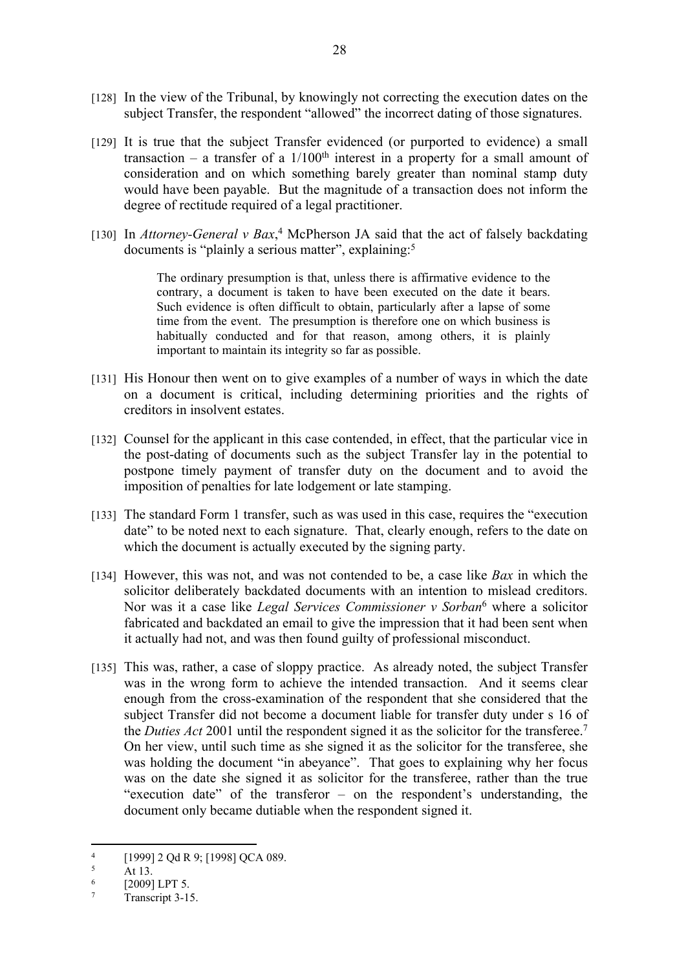- [128] In the view of the Tribunal, by knowingly not correcting the execution dates on the subject Transfer, the respondent "allowed" the incorrect dating of those signatures.
- [129] It is true that the subject Transfer evidenced (or purported to evidence) a small transaction – a transfer of a  $1/100<sup>th</sup>$  interest in a property for a small amount of consideration and on which something barely greater than nominal stamp duty would have been payable. But the magnitude of a transaction does not inform the degree of rectitude required of a legal practitioner.
- [130] In *Attorney-General v Bax*,<sup>4</sup> McPherson JA said that the act of falsely backdating documents is "plainly a serious matter", explaining:<sup>5</sup>

The ordinary presumption is that, unless there is affirmative evidence to the contrary, a document is taken to have been executed on the date it bears. Such evidence is often difficult to obtain, particularly after a lapse of some time from the event. The presumption is therefore one on which business is habitually conducted and for that reason, among others, it is plainly important to maintain its integrity so far as possible.

- [131] His Honour then went on to give examples of a number of ways in which the date on a document is critical, including determining priorities and the rights of creditors in insolvent estates.
- [132] Counsel for the applicant in this case contended, in effect, that the particular vice in the post-dating of documents such as the subject Transfer lay in the potential to postpone timely payment of transfer duty on the document and to avoid the imposition of penalties for late lodgement or late stamping.
- [133] The standard Form 1 transfer, such as was used in this case, requires the "execution" date" to be noted next to each signature. That, clearly enough, refers to the date on which the document is actually executed by the signing party.
- [134] However, this was not, and was not contended to be, a case like *Bax* in which the solicitor deliberately backdated documents with an intention to mislead creditors. Nor was it a case like *Legal Services Commissioner v Sorban*<sup>6</sup> where a solicitor fabricated and backdated an email to give the impression that it had been sent when it actually had not, and was then found guilty of professional misconduct.
- [135] This was, rather, a case of sloppy practice. As already noted, the subject Transfer was in the wrong form to achieve the intended transaction. And it seems clear enough from the cross-examination of the respondent that she considered that the subject Transfer did not become a document liable for transfer duty under s 16 of the *Duties Act* 2001 until the respondent signed it as the solicitor for the transferee.<sup>7</sup> On her view, until such time as she signed it as the solicitor for the transferee, she was holding the document "in abeyance". That goes to explaining why her focus was on the date she signed it as solicitor for the transferee, rather than the true "execution date" of the transferor – on the respondent's understanding, the document only became dutiable when the respondent signed it.

<sup>4</sup> [1999] 2 Qd R 9; [1998] QCA 089.

<sup>5</sup> At 13.

<sup>6</sup> [2009] LPT 5.

<sup>7</sup> Transcript 3-15.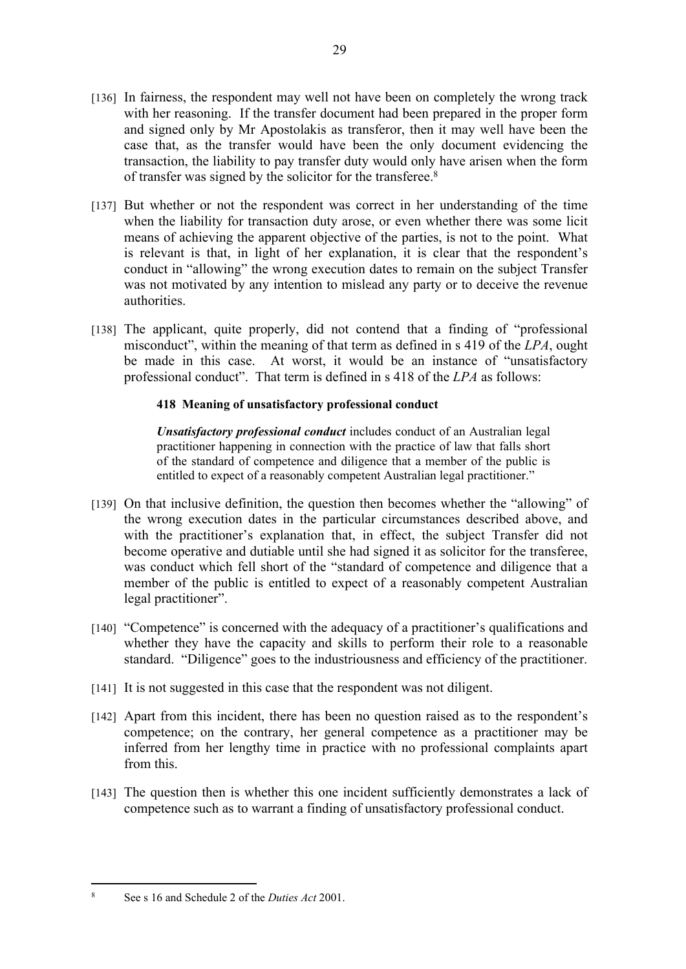- [136] In fairness, the respondent may well not have been on completely the wrong track with her reasoning. If the transfer document had been prepared in the proper form and signed only by Mr Apostolakis as transferor, then it may well have been the case that, as the transfer would have been the only document evidencing the transaction, the liability to pay transfer duty would only have arisen when the form of transfer was signed by the solicitor for the transferee.<sup>8</sup>
- [137] But whether or not the respondent was correct in her understanding of the time when the liability for transaction duty arose, or even whether there was some licit means of achieving the apparent objective of the parties, is not to the point. What is relevant is that, in light of her explanation, it is clear that the respondent's conduct in "allowing" the wrong execution dates to remain on the subject Transfer was not motivated by any intention to mislead any party or to deceive the revenue authorities.
- [138] The applicant, quite properly, did not contend that a finding of "professional" misconduct", within the meaning of that term as defined in s 419 of the *LPA*, ought be made in this case. At worst, it would be an instance of "unsatisfactory professional conduct". That term is defined in s 418 of the *LPA* as follows:

# **418 Meaning of unsatisfactory professional conduct**

*Unsatisfactory professional conduct* includes conduct of an Australian legal practitioner happening in connection with the practice of law that falls short of the standard of competence and diligence that a member of the public is entitled to expect of a reasonably competent Australian legal practitioner."

- [139] On that inclusive definition, the question then becomes whether the "allowing" of the wrong execution dates in the particular circumstances described above, and with the practitioner's explanation that, in effect, the subject Transfer did not become operative and dutiable until she had signed it as solicitor for the transferee, was conduct which fell short of the "standard of competence and diligence that a member of the public is entitled to expect of a reasonably competent Australian legal practitioner".
- [140] "Competence" is concerned with the adequacy of a practitioner's qualifications and whether they have the capacity and skills to perform their role to a reasonable standard. "Diligence" goes to the industriousness and efficiency of the practitioner.
- [141] It is not suggested in this case that the respondent was not diligent.
- [142] Apart from this incident, there has been no question raised as to the respondent's competence; on the contrary, her general competence as a practitioner may be inferred from her lengthy time in practice with no professional complaints apart from this.
- [143] The question then is whether this one incident sufficiently demonstrates a lack of competence such as to warrant a finding of unsatisfactory professional conduct.

<sup>8</sup> See s 16 and Schedule 2 of the *Duties Act* 2001.